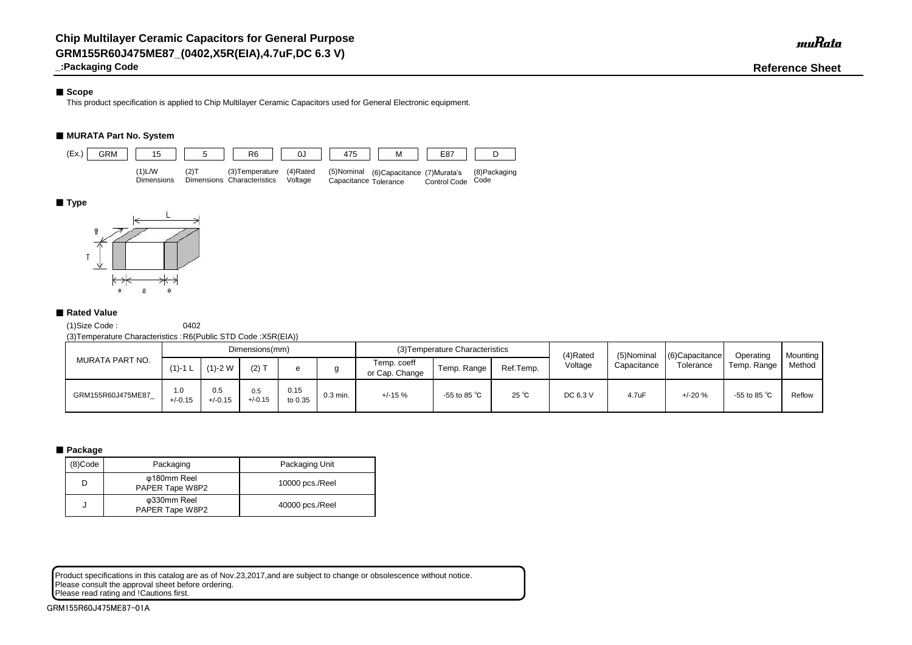## ■ Scope

**\_:Packaging Code Reference Sheet**

This product specification is applied to Chip Multilayer Ceramic Capacitors used for General Electronic equipment.

## ■ **MURATA Part No. System**

(1)Size Code : 0402

(3)Temperature Characteristics :R6(Public STD Code :X5R(EIA))

Product specifications in this catalog are as of Nov.23,2017,and are subject to change or obsolescence without notice. Please consult the approval sheet before ordering. Please read rating and !Cautions first.

|                   |                  |                  | Dimensions(mm)   |                 |            |                               | (3) Temperature Characteristics |                | (4)Rated | (5)Nominal  | $(6)$ Capacitance | Operating              | <b>Mounting</b> |
|-------------------|------------------|------------------|------------------|-----------------|------------|-------------------------------|---------------------------------|----------------|----------|-------------|-------------------|------------------------|-----------------|
| MURATA PART NO.   | $(1) - 1$ L      | $(1)-2$ W        | $(2)$ T          |                 |            | Temp. coeff<br>or Cap. Change | Ref.Temp.<br>Temp. Range        |                | Voltage  | Capacitance | Tolerance         | Temp. Range            | Method          |
| GRM155R60J475ME87 | 1.0<br>$+/-0.15$ | 0.5<br>$+/-0.15$ | 0.5<br>$+/-0.15$ | 0.15<br>to 0.35 | $0.3$ min. | $+/-15%$                      | -55 to 85 $^{\circ}$ C          | $25^{\circ}$ C | DC 6.3 V | 4.7uF       | $+/-20%$          | -55 to 85 $^{\circ}$ C | Reflow          |

## ■ Package

| (8)Code | Packaging                      | Packaging Unit  |
|---------|--------------------------------|-----------------|
|         | φ180mm Reel<br>PAPER Tape W8P2 | 10000 pcs./Reel |
|         | φ330mm Reel<br>PAPER Tape W8P2 | 40000 pcs./Reel |



## ■**Type**



## ■ Rated Value

muRata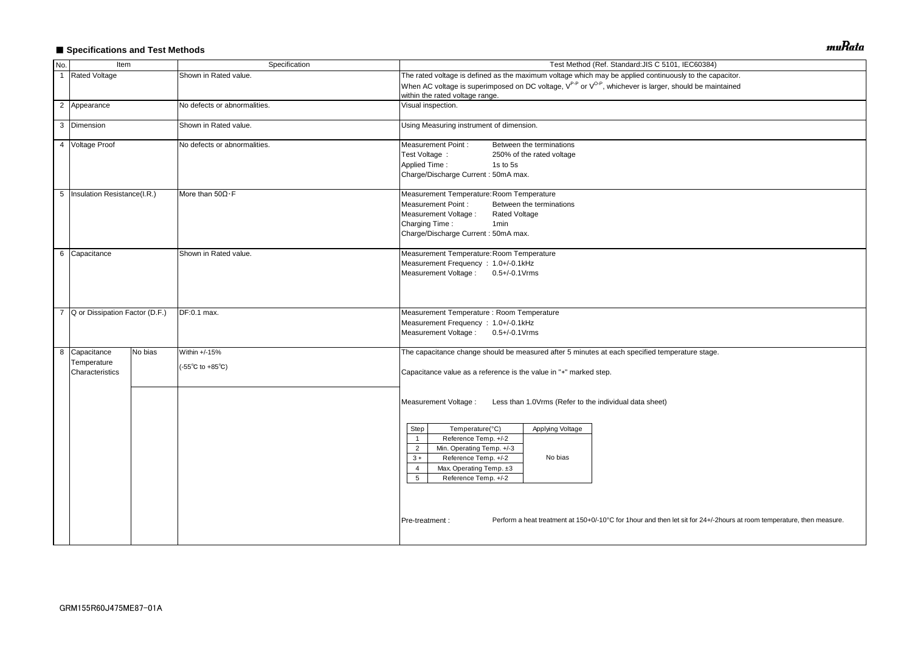# ■ Specifications and Test Methods

| No.            | Item                                            |         | Specification                                              | Test Method (Ref. Standard: JIS C 5101, IEC60384)                                                                                                                                                                                                                                                                                                                                                                                                                            |  |  |  |  |  |
|----------------|-------------------------------------------------|---------|------------------------------------------------------------|------------------------------------------------------------------------------------------------------------------------------------------------------------------------------------------------------------------------------------------------------------------------------------------------------------------------------------------------------------------------------------------------------------------------------------------------------------------------------|--|--|--|--|--|
| $\overline{1}$ | <b>Rated Voltage</b>                            |         | Shown in Rated value.                                      | The rated voltage is defined as the maximum voltage which may be applied continuously to the capacitor.                                                                                                                                                                                                                                                                                                                                                                      |  |  |  |  |  |
|                |                                                 |         |                                                            | When AC voltage is superimposed on DC voltage, V <sup>P-P</sup> or V <sup>O-P</sup> , whichever is larger, should be maintained<br>within the rated voltage range.                                                                                                                                                                                                                                                                                                           |  |  |  |  |  |
|                | 2 Appearance                                    |         | No defects or abnormalities.                               | Visual inspection.                                                                                                                                                                                                                                                                                                                                                                                                                                                           |  |  |  |  |  |
|                | 3 Dimension                                     |         | Shown in Rated value.                                      | Using Measuring instrument of dimension.                                                                                                                                                                                                                                                                                                                                                                                                                                     |  |  |  |  |  |
|                | 4 Voltage Proof<br>No defects or abnormalities. |         |                                                            | <b>Measurement Point:</b><br>Between the terminations<br>Test Voltage :<br>250% of the rated voltage<br><b>Applied Time:</b><br>1s to 5s<br>Charge/Discharge Current: 50mA max.                                                                                                                                                                                                                                                                                              |  |  |  |  |  |
|                | 5   Insulation Resistance(I.R.)                 |         | More than $50\Omega \cdot F$                               | Measurement Temperature: Room Temperature<br><b>Measurement Point:</b><br>Between the terminations<br>Measurement Voltage :<br><b>Rated Voltage</b><br>Charging Time:<br>1 <sub>min</sub><br>Charge/Discharge Current: 50mA max.                                                                                                                                                                                                                                             |  |  |  |  |  |
|                | 6 Capacitance                                   |         | Shown in Rated value.                                      | Measurement Temperature: Room Temperature<br>Measurement Frequency : 1.0+/-0.1kHz<br>Measurement Voltage: 0.5+/-0.1 Vrms                                                                                                                                                                                                                                                                                                                                                     |  |  |  |  |  |
| $\overline{7}$ | Q or Dissipation Factor (D.F.)                  |         | DF:0.1 max.                                                | Measurement Temperature : Room Temperature<br>Measurement Frequency : 1.0+/-0.1kHz<br>Measurement Voltage: 0.5+/-0.1Vrms                                                                                                                                                                                                                                                                                                                                                     |  |  |  |  |  |
|                | 8 Capacitance<br>Temperature<br>Characteristics | No bias | Within +/-15%<br>$(-55^{\circ}C \text{ to } +85^{\circ}C)$ | The capacitance change should be measured after 5 minutes at each specified temperature stage.<br>Capacitance value as a reference is the value in "*" marked step.                                                                                                                                                                                                                                                                                                          |  |  |  |  |  |
|                |                                                 |         |                                                            | Measurement Voltage :<br>Less than 1.0Vrms (Refer to the individual data sheet)<br>Temperature(°C)<br>Applying Voltage<br>Step<br>Reference Temp. +/-2<br>$\overline{1}$<br>Min. Operating Temp. +/-3<br>$\overline{2}$<br>Reference Temp. +/-2<br>No bias<br>$3 *$<br>Max. Operating Temp. ±3<br>4<br>5<br>Reference Temp. +/-2<br>Perform a heat treatment at 150+0/-10°C for 1hour and then let sit for 24+/-2hours at room temperature, then measure.<br>Pre-treatment : |  |  |  |  |  |
|                |                                                 |         |                                                            |                                                                                                                                                                                                                                                                                                                                                                                                                                                                              |  |  |  |  |  |

muRata

| pacitor.                                  |
|-------------------------------------------|
| intained                                  |
|                                           |
|                                           |
|                                           |
|                                           |
|                                           |
|                                           |
|                                           |
|                                           |
|                                           |
|                                           |
|                                           |
|                                           |
|                                           |
|                                           |
|                                           |
|                                           |
|                                           |
|                                           |
|                                           |
|                                           |
|                                           |
|                                           |
| ).                                        |
|                                           |
|                                           |
|                                           |
|                                           |
|                                           |
|                                           |
|                                           |
|                                           |
|                                           |
|                                           |
|                                           |
|                                           |
|                                           |
|                                           |
| 2hours at room temperature, then measure. |
|                                           |
|                                           |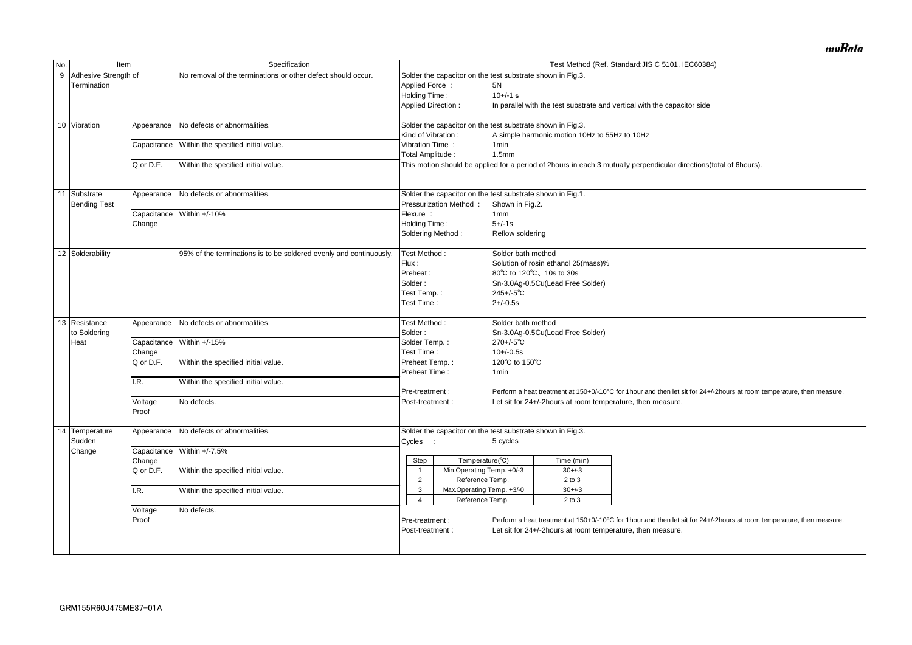| No. | Item                   |             | Specification                                                      | Test Method (Ref. Standard: JIS C 5101, IEC60384)                                                                                        |                                                            |                           |                                               |                                                                                                                       |  |  |
|-----|------------------------|-------------|--------------------------------------------------------------------|------------------------------------------------------------------------------------------------------------------------------------------|------------------------------------------------------------|---------------------------|-----------------------------------------------|-----------------------------------------------------------------------------------------------------------------------|--|--|
|     | 9 Adhesive Strength of |             | No removal of the terminations or other defect should occur.       | Solder the capacitor on the test substrate shown in Fig.3.                                                                               |                                                            |                           |                                               |                                                                                                                       |  |  |
|     | Termination            |             |                                                                    | <b>Applied Force:</b>                                                                                                                    |                                                            | 5N                        |                                               |                                                                                                                       |  |  |
|     |                        |             |                                                                    | Holding Time:<br>$10+/-1$ s                                                                                                              |                                                            |                           |                                               |                                                                                                                       |  |  |
|     |                        |             |                                                                    | <b>Applied Direction:</b>                                                                                                                |                                                            |                           |                                               | In parallel with the test substrate and vertical with the capacitor side                                              |  |  |
|     |                        |             |                                                                    |                                                                                                                                          |                                                            |                           |                                               |                                                                                                                       |  |  |
|     | 10 Vibration           | Appearance  | No defects or abnormalities.                                       |                                                                                                                                          | Solder the capacitor on the test substrate shown in Fig.3. |                           |                                               |                                                                                                                       |  |  |
|     |                        |             |                                                                    | Kind of Vibration:                                                                                                                       |                                                            |                           | A simple harmonic motion 10Hz to 55Hz to 10Hz |                                                                                                                       |  |  |
|     |                        | Capacitance | Within the specified initial value.                                | Vibration Time:                                                                                                                          |                                                            | 1 <sub>min</sub>          |                                               |                                                                                                                       |  |  |
|     |                        |             |                                                                    | Total Amplitude:                                                                                                                         |                                                            | 1.5 <sub>mm</sub>         |                                               |                                                                                                                       |  |  |
|     |                        | Q or D.F.   | Within the specified initial value.                                |                                                                                                                                          |                                                            |                           |                                               | This motion should be applied for a period of 2hours in each 3 mutually perpendicular directions(total of 6hours).    |  |  |
|     |                        |             |                                                                    |                                                                                                                                          |                                                            |                           |                                               |                                                                                                                       |  |  |
|     | 11 Substrate           | Appearance  | No defects or abnormalities.                                       |                                                                                                                                          | Solder the capacitor on the test substrate shown in Fig.1. |                           |                                               |                                                                                                                       |  |  |
|     | <b>Bending Test</b>    |             |                                                                    |                                                                                                                                          | Pressurization Method:                                     | Shown in Fig.2.           |                                               |                                                                                                                       |  |  |
|     |                        | Capacitance | Within +/-10%                                                      | Flexure :                                                                                                                                |                                                            | 1mm                       |                                               |                                                                                                                       |  |  |
|     |                        | Change      |                                                                    | Holding Time:                                                                                                                            |                                                            | $5 + (-1s)$               |                                               |                                                                                                                       |  |  |
|     |                        |             |                                                                    | Soldering Method:                                                                                                                        |                                                            |                           |                                               |                                                                                                                       |  |  |
|     |                        |             |                                                                    |                                                                                                                                          |                                                            | Reflow soldering          |                                               |                                                                                                                       |  |  |
|     | 12 Solderability       |             | 95% of the terminations is to be soldered evenly and continuously. | Test Method:                                                                                                                             |                                                            | Solder bath method        |                                               |                                                                                                                       |  |  |
|     |                        |             |                                                                    | Flux:                                                                                                                                    |                                                            |                           | Solution of rosin ethanol 25(mass)%           |                                                                                                                       |  |  |
|     |                        |             |                                                                    | Preheat:                                                                                                                                 |                                                            | 80°C to 120°C, 10s to 30s |                                               |                                                                                                                       |  |  |
|     |                        |             |                                                                    | Solder:                                                                                                                                  |                                                            |                           | Sn-3.0Ag-0.5Cu(Lead Free Solder)              |                                                                                                                       |  |  |
|     |                        |             |                                                                    | Test Temp.:<br>Test Time:                                                                                                                |                                                            | $245 + (-5)$ °C           |                                               |                                                                                                                       |  |  |
|     |                        |             |                                                                    |                                                                                                                                          |                                                            | $2+/-0.5s$                |                                               |                                                                                                                       |  |  |
|     |                        |             |                                                                    |                                                                                                                                          |                                                            |                           |                                               |                                                                                                                       |  |  |
|     | 13 Resistance          | Appearance  | No defects or abnormalities.                                       | Test Method:                                                                                                                             |                                                            | Solder bath method        |                                               |                                                                                                                       |  |  |
|     | to Soldering           |             |                                                                    | Solder:                                                                                                                                  |                                                            |                           | Sn-3.0Ag-0.5Cu(Lead Free Solder)              |                                                                                                                       |  |  |
|     | Heat                   | Capacitance | Within +/-15%                                                      | Solder Temp.:                                                                                                                            |                                                            | $270 + (-5)$ °C           |                                               |                                                                                                                       |  |  |
|     |                        |             |                                                                    | Test Time:                                                                                                                               |                                                            | $10+/-0.5s$               |                                               |                                                                                                                       |  |  |
|     |                        | Change      |                                                                    |                                                                                                                                          |                                                            |                           |                                               |                                                                                                                       |  |  |
|     |                        | Q or D.F.   | Within the specified initial value.                                | Preheat Temp.:                                                                                                                           |                                                            | 120°C to 150°C            |                                               |                                                                                                                       |  |  |
|     |                        |             |                                                                    | Preheat Time:                                                                                                                            |                                                            | 1 <sub>min</sub>          |                                               |                                                                                                                       |  |  |
|     |                        | .R.         | Within the specified initial value.                                |                                                                                                                                          |                                                            |                           |                                               |                                                                                                                       |  |  |
|     |                        |             |                                                                    | Perform a heat treatment at 150+0/-10°C for 1hour and then let sit for 24+/-2hours at room temperature, then measure.<br>Pre-treatment : |                                                            |                           |                                               |                                                                                                                       |  |  |
|     |                        | Voltage     | No defects.                                                        | Post-treatment :                                                                                                                         |                                                            |                           |                                               | Let sit for 24+/-2hours at room temperature, then measure.                                                            |  |  |
|     |                        | Proof       |                                                                    |                                                                                                                                          |                                                            |                           |                                               |                                                                                                                       |  |  |
|     | 14 Temperature         | Appearance  | No defects or abnormalities.                                       |                                                                                                                                          | Solder the capacitor on the test substrate shown in Fig.3. |                           |                                               |                                                                                                                       |  |  |
|     | Sudden                 |             |                                                                    | Cycles :                                                                                                                                 |                                                            | 5 cycles                  |                                               |                                                                                                                       |  |  |
|     | Change                 |             | Capacitance Within +/-7.5%                                         |                                                                                                                                          |                                                            |                           |                                               |                                                                                                                       |  |  |
|     |                        | Change      |                                                                    | Step                                                                                                                                     | Temperature(°C)                                            |                           | Time (min)                                    |                                                                                                                       |  |  |
|     |                        | Q or D.F.   | Within the specified initial value.                                |                                                                                                                                          | Min.Operating Temp. +0/-3                                  |                           | $30 + / -3$                                   |                                                                                                                       |  |  |
|     |                        |             |                                                                    | $\overline{2}$                                                                                                                           | Reference Temp.                                            |                           | $2$ to $3$                                    |                                                                                                                       |  |  |
|     |                        | I.R.        | Within the specified initial value.                                | 3                                                                                                                                        | Max Operating Temp. +3/-0                                  |                           | $30 + -3$                                     |                                                                                                                       |  |  |
|     |                        |             |                                                                    | 4                                                                                                                                        | Reference Temp.                                            |                           | $2$ to $3$                                    |                                                                                                                       |  |  |
|     |                        |             | No defects.                                                        |                                                                                                                                          |                                                            |                           |                                               |                                                                                                                       |  |  |
|     |                        | Voltage     |                                                                    |                                                                                                                                          |                                                            |                           |                                               |                                                                                                                       |  |  |
|     |                        | Proof       |                                                                    | Pre-treatment :                                                                                                                          |                                                            |                           |                                               | Perform a heat treatment at 150+0/-10°C for 1hour and then let sit for 24+/-2hours at room temperature, then measure. |  |  |
|     |                        |             |                                                                    | Post-treatment :                                                                                                                         |                                                            |                           |                                               | Let sit for 24+/-2hours at room temperature, then measure.                                                            |  |  |
|     |                        |             |                                                                    |                                                                                                                                          |                                                            |                           |                                               |                                                                                                                       |  |  |
|     |                        |             |                                                                    |                                                                                                                                          |                                                            |                           |                                               |                                                                                                                       |  |  |

muRata

| al of 6hours).                          |
|-----------------------------------------|
|                                         |
|                                         |
|                                         |
|                                         |
|                                         |
|                                         |
|                                         |
|                                         |
|                                         |
|                                         |
|                                         |
|                                         |
|                                         |
|                                         |
|                                         |
|                                         |
|                                         |
|                                         |
|                                         |
|                                         |
|                                         |
|                                         |
| ours at room temperature, then measure. |
|                                         |
|                                         |
|                                         |
|                                         |
|                                         |
|                                         |
|                                         |
|                                         |
|                                         |
|                                         |
|                                         |
|                                         |
| ours at room temperature, then measure. |
|                                         |
|                                         |
|                                         |
|                                         |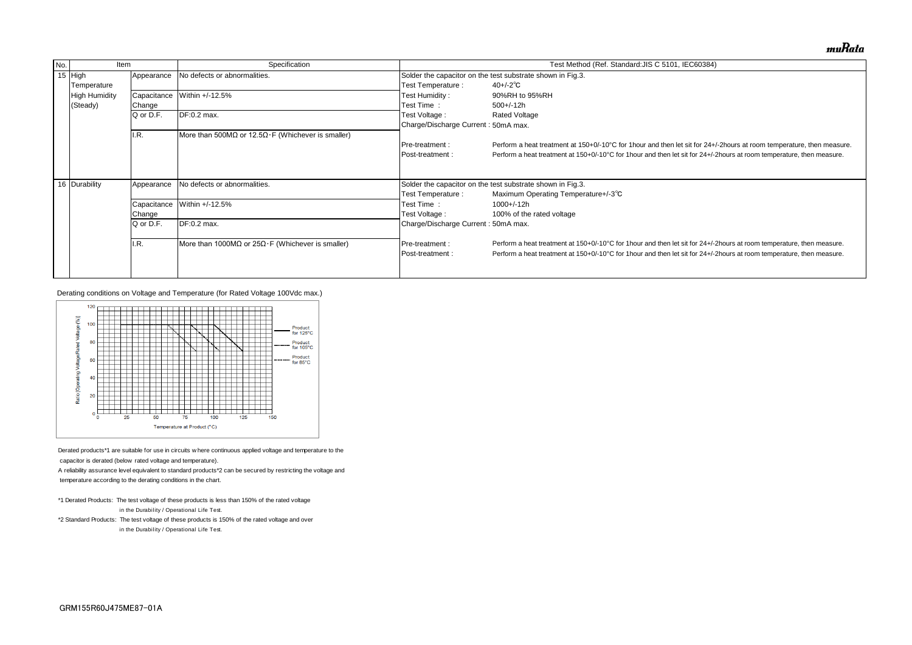| No. | <b>Item</b>          |             | Specification                                       |                                     | Test Method (Ref. Standard: JIS C 5101, IEC60384)                              |  |  |  |  |  |
|-----|----------------------|-------------|-----------------------------------------------------|-------------------------------------|--------------------------------------------------------------------------------|--|--|--|--|--|
|     | 15 $High$            | Appearance  | No defects or abnormalities.                        |                                     | Solder the capacitor on the test substrate shown in Fig.3.                     |  |  |  |  |  |
|     | Temperature          |             |                                                     | Test Temperature :                  | $40 + (-2)$ °C                                                                 |  |  |  |  |  |
|     | <b>High Humidity</b> | Capacitance | Within +/-12.5%                                     | Test Humidity:                      | 90%RH to 95%RH                                                                 |  |  |  |  |  |
|     | (Steady)             | Change      |                                                     | Test Time:                          | $500+/-12h$                                                                    |  |  |  |  |  |
|     |                      | Q or D.F.   | DF:0.2 max.                                         | Test Voltage :                      | <b>Rated Voltage</b>                                                           |  |  |  |  |  |
|     |                      |             |                                                     | Charge/Discharge Current: 50mA max. |                                                                                |  |  |  |  |  |
|     |                      | I.R.        | More than 500MΩ or 12.5Ω · F (Whichever is smaller) |                                     |                                                                                |  |  |  |  |  |
|     |                      |             |                                                     | <b>Pre-treatment:</b>               | Perform a heat treatment at 150+0/-10°C for 1 hour and then let sit for 24+/-  |  |  |  |  |  |
|     |                      |             |                                                     | <b>IPost-treatment:</b>             | Perform a heat treatment at 150+0/-10°C for 1 hour and then let sit for 24+/-2 |  |  |  |  |  |
|     |                      |             |                                                     |                                     |                                                                                |  |  |  |  |  |
|     |                      |             |                                                     |                                     |                                                                                |  |  |  |  |  |
|     | 16 Durability        | Appearance  | No defects or abnormalities.                        |                                     | Solder the capacitor on the test substrate shown in Fig.3.                     |  |  |  |  |  |
|     |                      |             |                                                     | Test Temperature :                  | Maximum Operating Temperature+/-3°C                                            |  |  |  |  |  |
|     |                      | Capacitance | Within +/-12.5%                                     | Test Time:                          | 1000+/-12h                                                                     |  |  |  |  |  |
|     |                      | Change      |                                                     | Test Voltage :                      | 100% of the rated voltage                                                      |  |  |  |  |  |
|     |                      | Q or D.F.   | DF:0.2 max.                                         | Charge/Discharge Current: 50mA max. |                                                                                |  |  |  |  |  |
|     |                      |             |                                                     |                                     |                                                                                |  |  |  |  |  |
|     |                      | I.R.        | More than 1000MΩ or $25Ω·F$ (Whichever is smaller)  | <b>Pre-treatment:</b>               | Perform a heat treatment at 150+0/-10°C for 1 hour and then let sit for 24+/-2 |  |  |  |  |  |
|     |                      |             |                                                     | <b>IPost-treatment:</b>             | Perform a heat treatment at 150+0/-10°C for 1 hour and then let sit for 24+/-2 |  |  |  |  |  |
|     |                      |             |                                                     |                                     |                                                                                |  |  |  |  |  |
|     |                      |             |                                                     |                                     |                                                                                |  |  |  |  |  |

- \*1 Derated Products: The test voltage of these products is less than 150% of the rated voltage  $*$ 1 Derated Products: The test voltage of these products is les<br>in the Durability / Operational Life Test.
- \*2 Standard Products: The test voltage of these products is 150% of the rated voltage and over in the Durability / Operational Life Test.<br>\*2 Standard Products: The test voltage of these products is 1<br>in the Durability / Operational Life Test.

Derating conditions on Voltage and Temperature (for Rated Voltage 100Vdc max.)



Derated products\*1 are suitable for use in circuits where concapacitor is derated (below rated voltage and temperature).

A reliability assurance level equivalent to standard products\*2 can be secured by restricting the voltage and

temperature according to the derating conditions in the chart.

muRata

'-2hours at room temperature, then measure. hours at room temperature, then measure.

hours at room temperature, then measure. hours at room temperature, then measure.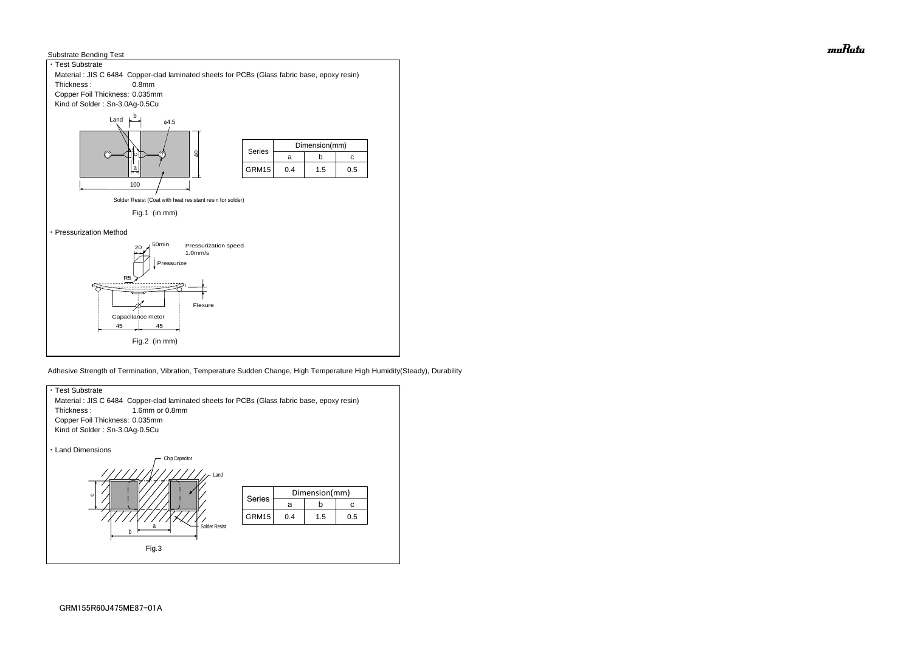



Adhesive Strength of Termination, Vibration, Temperature Sudden Change, High Temperature High Humidity(Steady), Durability



muRata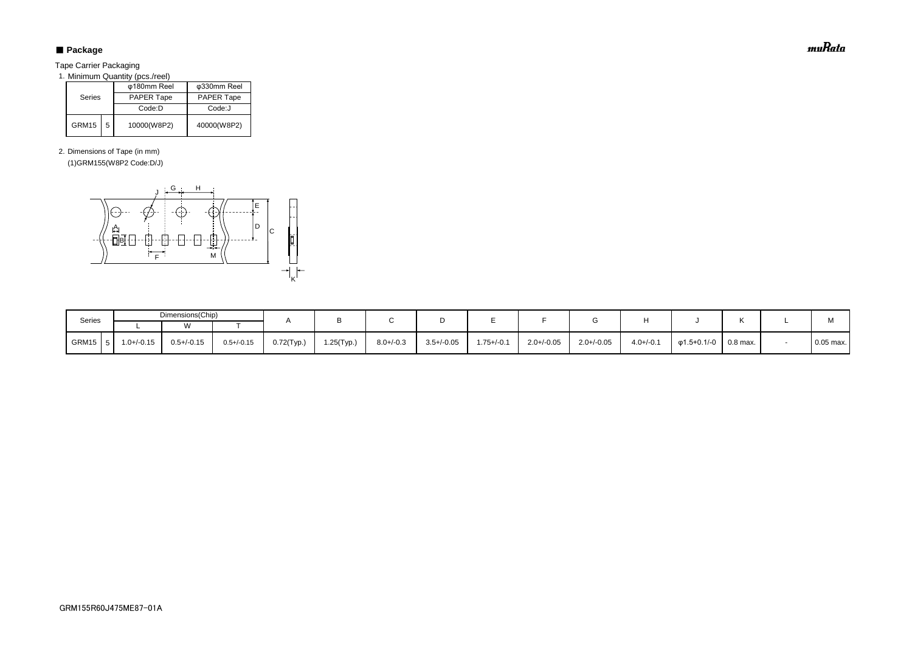# ■ Package

Tape Carrier Packaging

1. Minimum Quantity (pcs./reel)

2. Dimensions of Tape (in mm)

(1)GRM155(W8P2 Code:D/J)

|        |   | φ180mm Reel | φ330mm Reel |  |  |
|--------|---|-------------|-------------|--|--|
| Series |   | PAPER Tape  | PAPER Tape  |  |  |
|        |   | Code: D     | Code:J      |  |  |
| GRM15  | 5 | 10000(W8P2) | 40000(W8P2) |  |  |

| Series      |                 | Dimensions(Chip) |                 |            |            |                |                 |                |                 |                 |                |             |          |             |  |  |  |  |  |  |  |  |  |  |  | M |
|-------------|-----------------|------------------|-----------------|------------|------------|----------------|-----------------|----------------|-----------------|-----------------|----------------|-------------|----------|-------------|--|--|--|--|--|--|--|--|--|--|--|---|
|             |                 |                  |                 |            |            |                |                 |                |                 |                 |                |             |          |             |  |  |  |  |  |  |  |  |  |  |  |   |
| GRM15<br>-5 | $1.0 + (-0.15)$ | $0.5 + (-0.15)$  | $0.5 + (-0.15)$ | 0.72(Typ.) | 1.25(Typ.) | $8.0 + (-0.3)$ | $3.5 + / -0.05$ | $1.75 + (-0.1$ | $2.0 + (-0.05)$ | $2.0 + / -0.05$ | $4.0 + (-0.1)$ | φ1.5+0.1/-0 | 0.8 max. | $0.05$ max. |  |  |  |  |  |  |  |  |  |  |  |   |



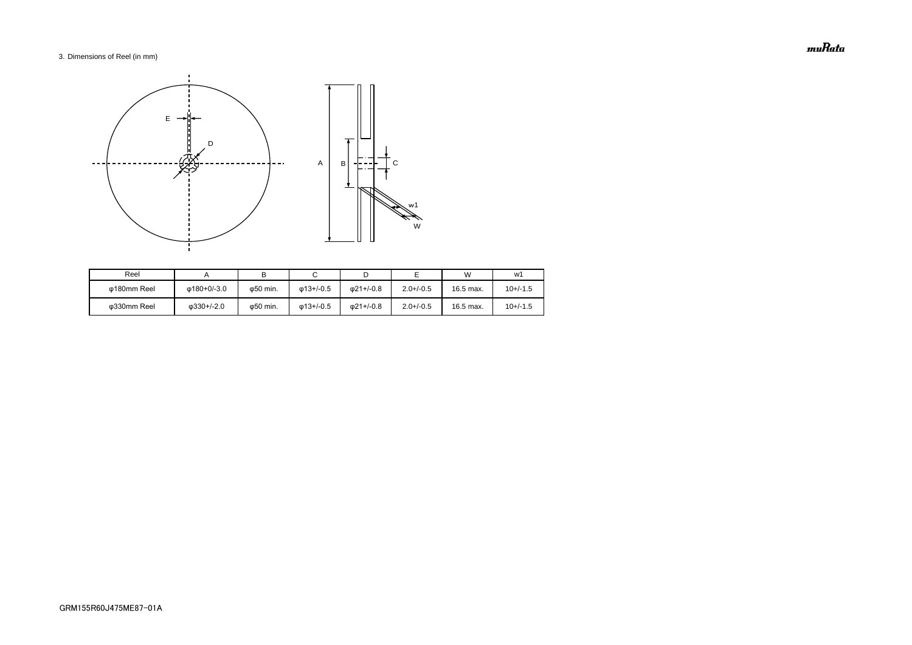## 3. Dimensions of Reel (in mm)

| Reel        |                    |                   |                   |                   |                | W         | w1         |
|-------------|--------------------|-------------------|-------------------|-------------------|----------------|-----------|------------|
| Φ180mm Reel | ω180+0/-3.0        | ω50 min.          | $\omega$ 13+/-0.5 | $\omega$ 21+/-0.8 | $2.0 + (-0.5)$ | 16.5 max. | $10+/-1.5$ |
| ω330mm Reel | $\omega$ 330+/-2.0 | $\varphi$ 50 min. | $\omega$ 13+/-0.5 | $\omega$ 21+/-0.8 | $2.0 + (-0.5)$ | 16.5 max. | $10+/-1.5$ |



muRata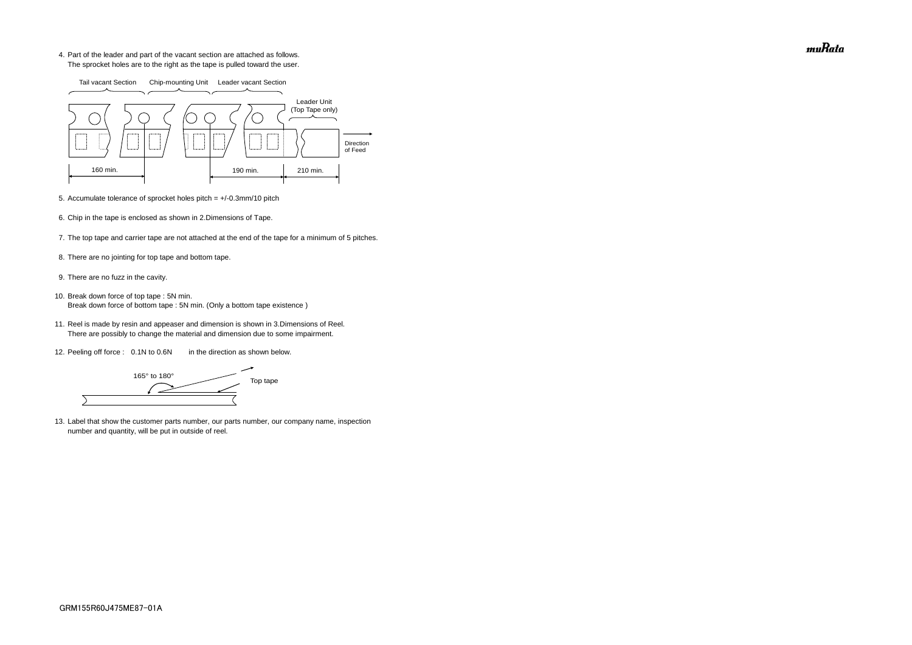4. Part of the leader and part of the vacant section are attached as follows. The sprocket holes are to the right as the tape is pulled toward the user.

- 5. Accumulate tolerance of sprocket holes pitch = +/-0.3mm/10 pitch
- 6. Chip in the tape is enclosed as shown in 2.Dimensions of Tape.
- 7. The top tape and carrier tape are not attached at the end of the tape for a minimum of 5 pitches.
- 8. There are no jointing for top tape and bottom tape.
- 9. There are no fuzz in the cavity.
- 10. Break down force of top tape : 5N min. Break down force of bottom tape : 5N min. (Only a bottom tape existence)
	- 11. Reel is made by resin and appeaser and dimension is shown in 3.Dimensions of Reel. There are possibly to change the material and dimension due to some impairment.
	- 12. Peeling off force : 0.1N to 0.6N in the direction as shown below.

165° to 180° Top tape  $\overline{\phantom{0}}$ 

13. Label that show the customer parts number, our parts number, our company name, inspection number and quantity, will be put in outside of reel.



muRata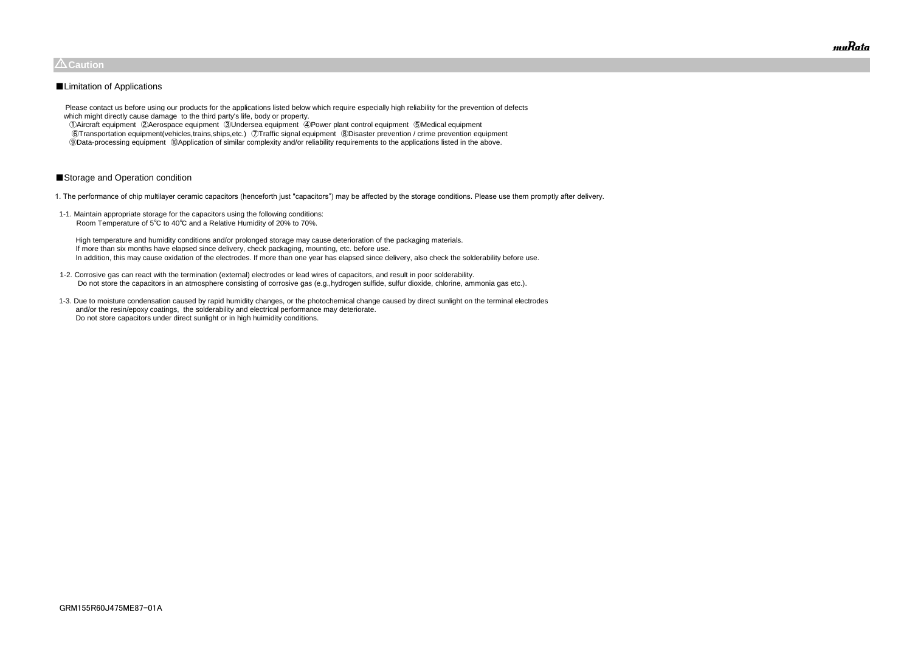Please contact us before using our products for the applications listed below which require especially high reliability for the prevention of defects which might directly cause damage to the third party's life, body or property.

 ①Aircraft equipment ②Aerospace equipment ③Undersea equipment ④Power plant control equipment ⑤Medical equipment ⑥Transportation equipment(vehicles,trains,ships,etc.) ⑦Traffic signal equipment ⑧Disaster prevention / crime prevention equipment ⑨Data-processing equipment ⑩Application of similar complexity and/or reliability requirements to the applications listed in the above.

## ■Storage and Operation condition

1. The performance of chip multilayer ceramic capacitors (henceforth just "capacitors") may be affected by the storage conditions. Please use them promptly after delivery.

1-1. Maintain appropriate storage for the capacitors using the following conditions: Room Temperature of 5℃ to 40℃ and a Relative Humidity of 20% to 70%.

 High temperature and humidity conditions and/or prolonged storage may cause deterioration of the packaging materials. If more than six months have elapsed since delivery, check packaging, mounting, etc. before use. In addition, this may cause oxidation of the electrodes. If more than one year has elapsed since delivery, also check the solderability before use.

- 1-2. Corrosive gas can react with the termination (external) electrodes or lead wires of capacitors, and result in poor solderability. Do not store the capacitors in an atmosphere consisting of corrosive gas (e.g.,hydrogen sulfide, sulfur dioxide, chlorine, ammonia gas etc.).
- 1-3. Due to moisture condensation caused by rapid humidity changes, or the photochemical change caused by direct sunlight on the terminal electrodes and/or the resin/epoxy coatings, the solderability and electrical performance may deteriorate. Do not store capacitors under direct sunlight or in high huimidity conditions.



## $\triangle$ Caution

## ■Limitation of Applications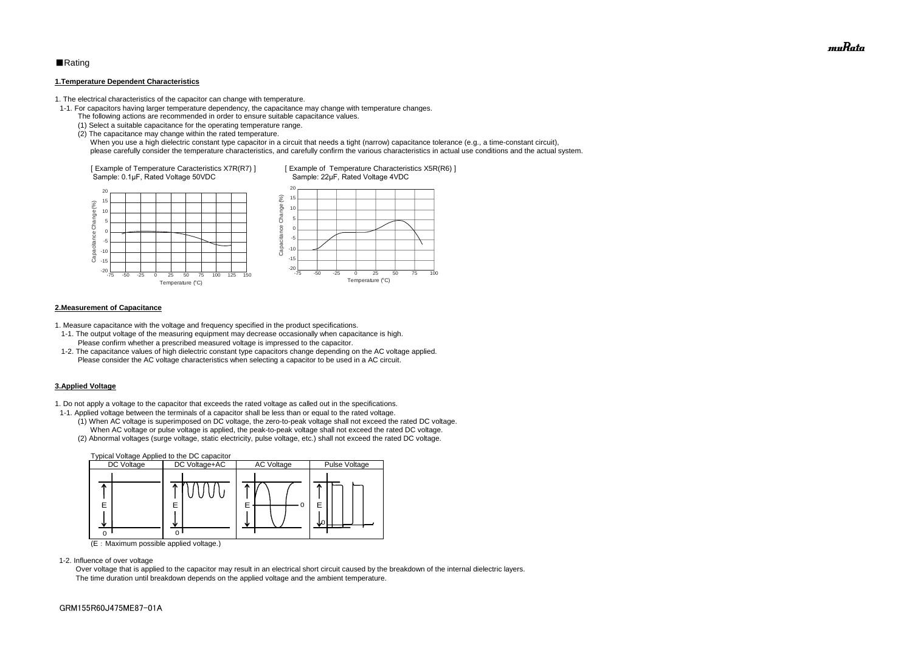## ■Rating

#### **1.Temperature Dependent Characteristics**

1. The electrical characteristics of the capacitor can change with temperature.

- 1-1. For capacitors having larger temperature dependency, the capacitance may change with temperature changes.
	- The following actions are recommended in order to ensure suitable capacitance values.
	- (1) Select a suitable capacitance for the operating temperature range.
	- (2) The capacitance may change within the rated temperature.

When you use a high dielectric constant type capacitor in a circuit that needs a tight (narrow) capacitance tolerance (e.g., a time-constant circuit), please carefully consider the temperature characteristics, and carefully confirm the various characteristics in actual use conditions and the actual system.

#### **2.Measurement of Capacitance**

1. Measure capacitance with the voltage and frequency specified in the product specifications.

- 1-1. The output voltage of the measuring equipment may decrease occasionally when capacitance is high. Please confirm whether a prescribed measured voltage is impressed to the capacitor.
- 1-2. The capacitance values of high dielectric constant type capacitors change depending on the AC voltage applied. Please consider the AC voltage characteristics when selecting a capacitor to be used in a AC circuit.

#### **3.Applied Voltage**

1. Do not apply a voltage to the capacitor that exceeds the rated voltage as called out in the specifications.



- 1-1. Applied voltage between the terminals of a capacitor shall be less than or equal to the rated voltage.
	- (1) When AC voltage is superimposed on DC voltage, the zero-to-peak voltage shall not exceed the rated DC voltage. When AC voltage or pulse voltage is applied, the peak-to-peak voltage shall not exceed the rated DC voltage.
	- (2) Abnormal voltages (surge voltage, static electricity, pulse voltage, etc.) shall not exceed the rated DC voltage.



(E:Maximum possible applied voltage.)

1-2. Influence of over voltage

 Over voltage that is applied to the capacitor may result in an electrical short circuit caused by the breakdown of the internal dielectric layers. The time duration until breakdown depends on the applied voltage and the ambient temperature.

muRata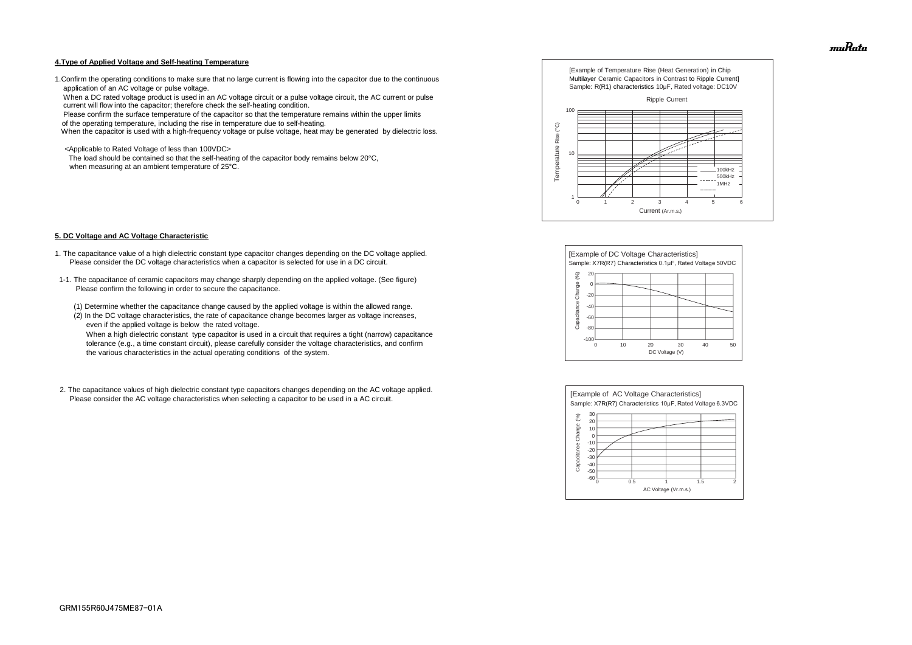#### **4.Type of Applied Voltage and Self-heating Temperature**

1.Confirm the operating conditions to make sure that no large current is flowing into the capacitor due to the continuous application of an AC voltage or pulse voltage.

 When a DC rated voltage product is used in an AC voltage circuit or a pulse voltage circuit, the AC current or pulse current will flow into the capacitor; therefore check the self-heating condition.

Please confirm the surface temperature of the capacitor so that the temperature remains within the upper limits

of the operating temperature, including the rise in temperature due to self-heating.

When the capacitor is used with a high-frequency voltage or pulse voltage, heat may be generated by dielectric loss.

<Applicable to Rated Voltage of less than 100VDC>

 The load should be contained so that the self-heating of the capacitor body remains below 20°C, when measuring at an ambient temperature of 25°C.

#### **5. DC Voltage and AC Voltage Characteristic**

- 1. The capacitance value of a high dielectric constant type capacitor changes depending on the DC voltage applied. Please consider the DC voltage characteristics when a capacitor is selected for use in a DC circuit.
- 1-1. The capacitance of ceramic capacitors may change sharply depending on the applied voltage. (See figure) Please confirm the following in order to secure the capacitance.
	- (1) Determine whether the capacitance change caused by the applied voltage is within the allowed range.
	- (2) In the DC voltage characteristics, the rate of capacitance change becomes larger as voltage increases, even if the applied voltage is below the rated voltage.

 When a high dielectric constant type capacitor is used in a circuit that requires a tight (narrow) capacitance tolerance (e.g., a time constant circuit), please carefully consider the voltage characteristics, and confirm the various characteristics in the actual operating conditions of the system.

2. The capacitance values of high dielectric constant type capacitors changes depending on the AC voltage applied. Please consider the AC voltage characteristics when selecting a capacitor to be used in a AC circuit.









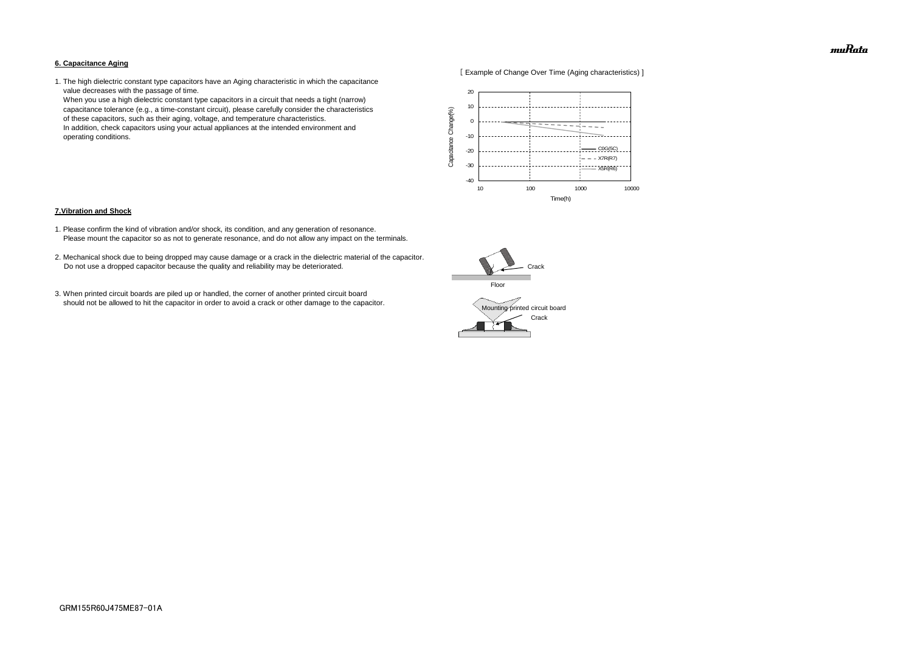#### **6. Capacitance Aging**



1. The high dielectric constant type capacitors have an Aging characteristic in which the capacitance value decreases with the passage of time.

 When you use a high dielectric constant type capacitors in a circuit that needs a tight (narrow) capacitance tolerance (e.g., a time-constant circuit), please carefully consider the characteristics of these capacitors, such as their aging, voltage, and temperature characteristics. In addition, check capacitors using your actual appliances at the intended environment and operating conditions.

#### **7.Vibration and Shock**

- 1. Please confirm the kind of vibration and/or shock, its condition, and any generation of resonance. Please mount the capacitor so as not to generate resonance, and do not allow any impact on the terminals.
- 2. Mechanical shock due to being dropped may cause damage or a crack in the dielectric material of the capacitor. Do not use a dropped capacitor because the quality and reliability may be deteriorated.
- 3. When printed circuit boards are piled up or handled, the corner of another printed circuit board should not be allowed to hit the capacitor in order to avoid a crack or other damage to the capacitor.





muRata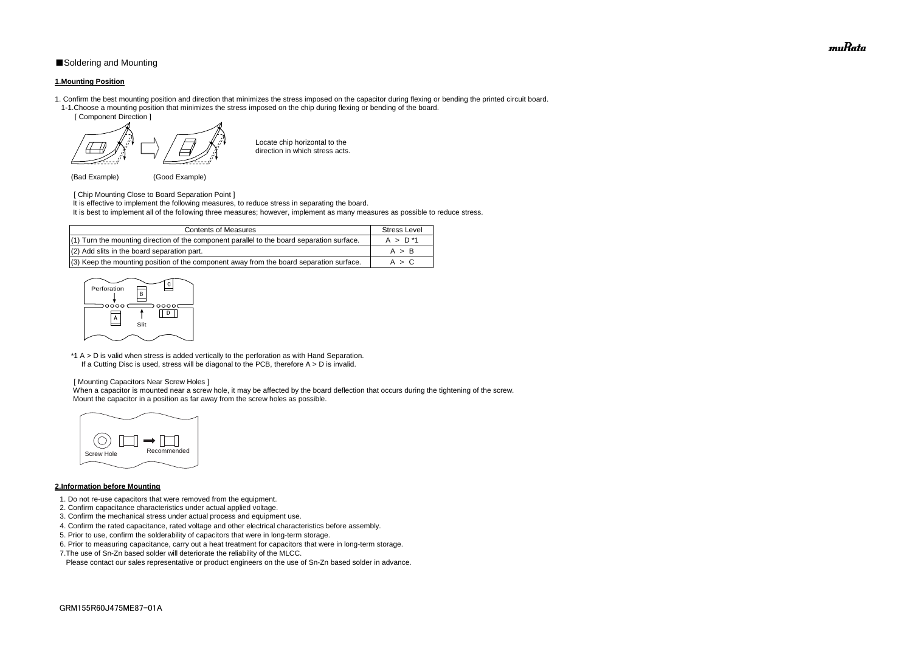## ■Soldering and Mounting

#### **1.Mounting Position**

- 1. Confirm the best mounting position and direction that minimizes the stress imposed on the capacitor during flexing or bending the printed circuit board. 1-1.Choose a mounting position that minimizes the stress imposed on the chip during flexing or bending of the board.
	- [ Component Direction ]

- [ Chip Mounting Close to Board Separation Point ] It is effective to implement the following measures, to reduce stress in separating the board.
- It is best to implement all of the following three measures; however, implement as many measures as possible to reduce stress.

Locate chip horizontal to the direction in which stress acts.

(Bad Example) (Good Example)

\*1 A > D is valid when stress is added vertically to the perforation as with Hand Separation. If a Cutting Disc is used, stress will be diagonal to the PCB, therefore  $A > D$  is invalid.

When a capacitor is mounted near a screw hole, it may be affected by the board deflection that occurs during the tightening of the screw. Mount the capacitor in a position as far away from the screw holes as possible.

#### [ Mounting Capacitors Near Screw Holes ]

## **2.Information before Mounting**

| <b>Contents of Measures</b>                                                                  | <b>Stress Level</b> |
|----------------------------------------------------------------------------------------------|---------------------|
| $(1)$ Turn the mounting direction of the component parallel to the board separation surface. | $A > D^*1$          |
| (2) Add slits in the board separation part.                                                  | A > B               |
| (3) Keep the mounting position of the component away from the board separation surface.      | A > C               |

- 1. Do not re-use capacitors that were removed from the equipment.
- 2. Confirm capacitance characteristics under actual applied voltage.
- 3. Confirm the mechanical stress under actual process and equipment use.
- 4. Confirm the rated capacitance, rated voltage and other electrical characteristics before assembly.
- 5. Prior to use, confirm the solderability of capacitors that were in long-term storage.
- 6. Prior to measuring capacitance, carry out a heat treatment for capacitors that were in long-term storage.
- 7.The use of Sn-Zn based solder will deteriorate the reliability of the MLCC.

Please contact our sales representative or product engineers on the use of Sn-Zn based solder in advance.





muRata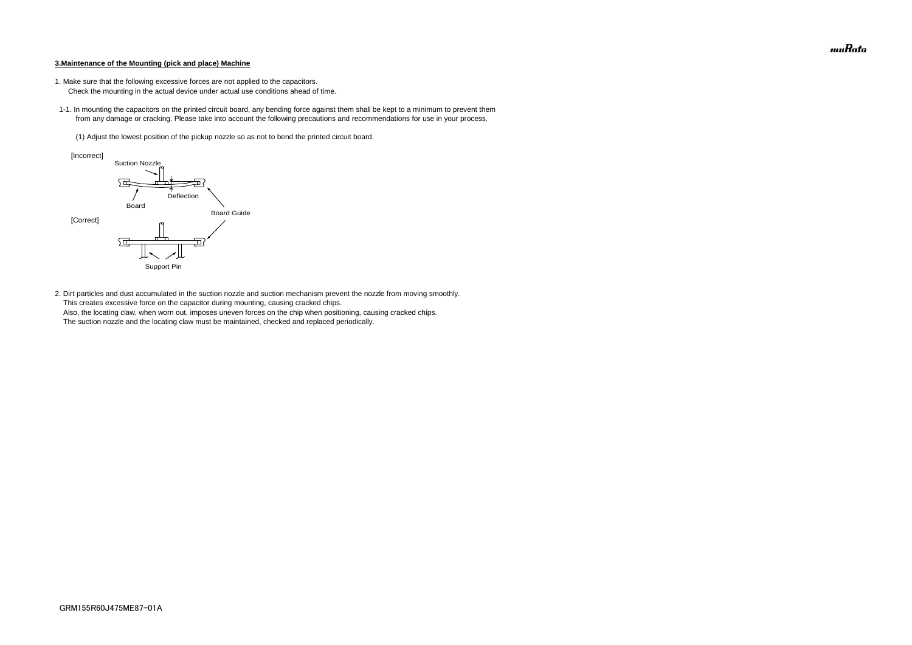#### **3.Maintenance of the Mounting (pick and place) Machine**

- 1. Make sure that the following excessive forces are not applied to the capacitors.
	- Check the mounting in the actual device under actual use conditions ahead of time.
- 1-1. In mounting the capacitors on the printed circuit board, any bending force against them shall be kept to a minimum to prevent them from any damage or cracking. Please take into account the following precautions and recommendations for use in your process.
	- (1) Adjust the lowest position of the pickup nozzle so as not to bend the printed circuit board.

2. Dirt particles and dust accumulated in the suction nozzle and suction mechanism prevent the nozzle from moving smoothly. This creates excessive force on the capacitor during mounting, causing cracked chips. Also, the locating claw, when worn out, imposes uneven forces on the chip when positioning, causing cracked chips. The suction nozzle and the locating claw must be maintained, checked and replaced periodically.



muRata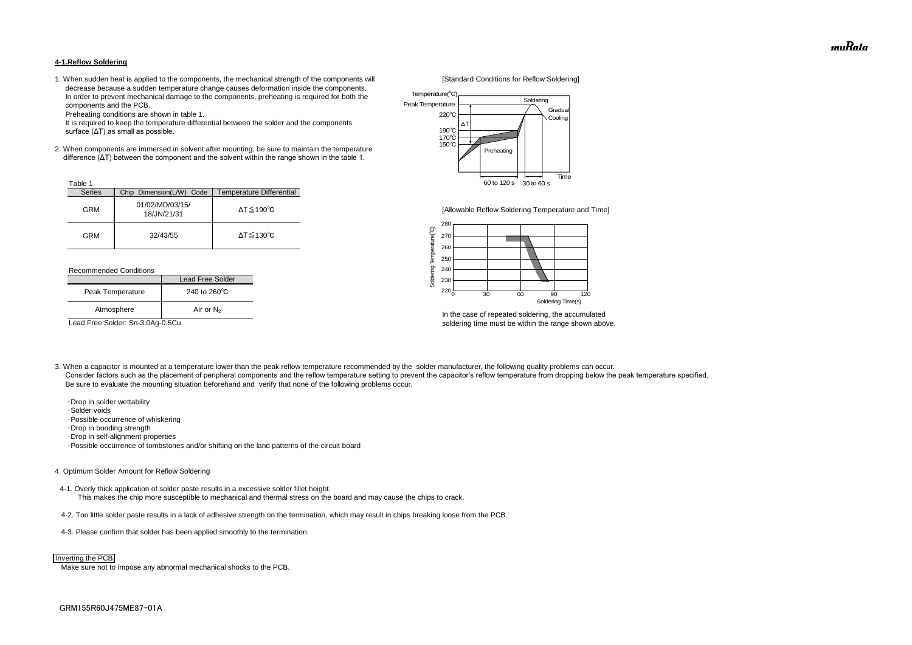#### **4-1.Reflow Soldering**

1. When sudden heat is applied to the components, the mechanical strength of the components will [Standard Conditions for Reflow Soldering] decrease because a sudden temperature change causes deformation inside the components. In order to prevent mechanical damage to the components, preheating is required for both the components and the PCB.

Preheating conditions are shown in table 1.

 It is required to keep the temperature differential between the solder and the components surface (ΔT) as small as possible.

2. When components are immersed in solvent after mounting, be sure to maintain the temperature difference (ΔT) between the component and the solvent within the range shown in the table 1.

#### Recommended Conditions

3. When a capacitor is mounted at a temperature lower than the peak reflow temperature recommended by the solder manufacturer, the following quality problems can occur. Consider factors such as the placement of peripheral components and the reflow temperature setting to prevent the capacitor's reflow temperature from dropping below the peak temperature specified. Be sure to evaluate the mounting situation beforehand and verify that none of the following problems occur.



In the case of repeated soldering, the accumulated Lead Free Solder: Sn-3.0Ag-0.5Cu soldering time must be within the range shown above.

 ・Drop in solder wettability ・Solder voids ・Possible occurrence of whiskering ・Drop in bonding strength ・Drop in self-alignment properties ・Possible occurrence of tombstones and/or shifting on the land patterns of the circuit board

| Table 1       |                                |                              |
|---------------|--------------------------------|------------------------------|
| <b>Series</b> | Chip Dimension(L/W) Code       | Temperature Differential     |
| <b>GRM</b>    | 01/02/MD/03/15/<br>18/JN/21/31 | $\Delta T \leq 190^{\circ}C$ |
| GRM           | 32/43/55                       | $\Delta T \leq 130^{\circ}C$ |

#### 4. Optimum Solder Amount for Reflow Soldering

4-1. Overly thick application of solder paste results in a excessive solder fillet height. This makes the chip more susceptible to mechanical and thermal stress on the board and may cause the chips to crack.

- 4-2. Too little solder paste results in a lack of adhesive strength on the termination, which may result in chips breaking loose from the PCB.
- 4-3. Please confirm that solder has been applied smoothly to the termination.

Make sure not to impose any abnormal mechanical shocks to the PCB.

|                  | Lead Free Solder       |
|------------------|------------------------|
| Peak Temperature | 240 to $260^{\circ}$ C |
| Atmosphere       | Air or $N_2$           |



#### Inverting the PCB

![](_page_14_Figure_10.jpeg)

[Allowable Reflow Soldering Temperature and Time]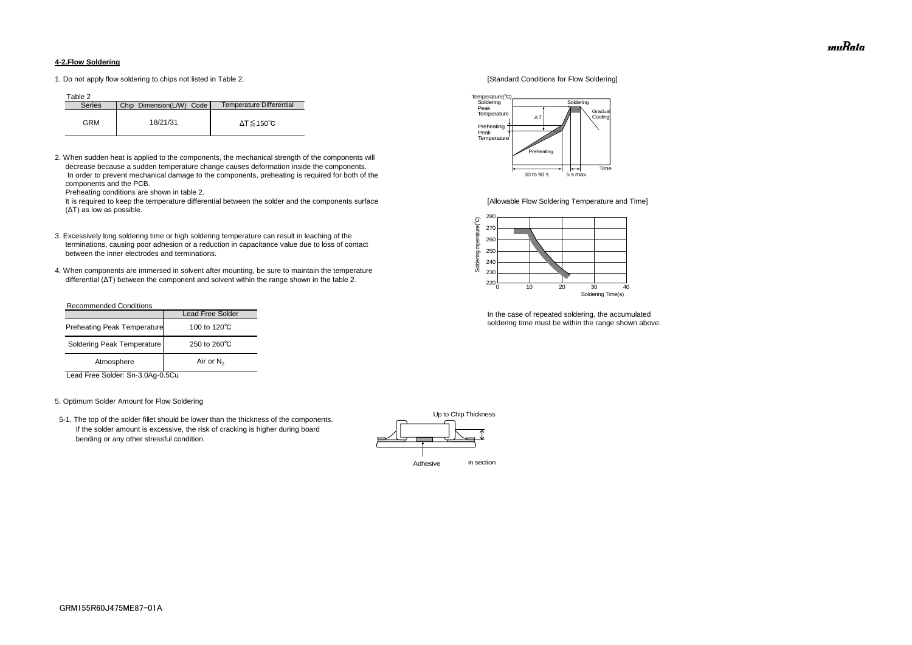### **4-2.Flow Soldering**

1. Do not apply flow soldering to chips not listed in Table 2. [Standard Conditions for Flow Soldering]

Table 2

2. When sudden heat is applied to the components, the mechanical strength of the components will decrease because a sudden temperature change causes deformation inside the components. In order to prevent mechanical damage to the components, preheating is required for both of the components and the PCB.

It is required to keep the temperature differential between the solder and the components surface [Allowable Flow Soldering Temperature and Time] (ΔT) as low as possible.

Preheating conditions are shown in table 2.

- 3. Excessively long soldering time or high soldering temperature can result in leaching of the terminations, causing poor adhesion or a reduction in capacitance value due to loss of contact between the inner electrodes and terminations.
- 4. When components are immersed in solvent after mounting, be sure to maintain the temperature differential (ΔT) between the component and solvent within the range shown in the table 2.

| <b>Series</b> | Chip Dimension(L/W) Code | Temperature Differential |
|---------------|--------------------------|--------------------------|
| GRM           | 18/21/31                 | ΔT≤150℃                  |

#### Recommended Conditions

Lead Free Solder: Sn-3.0Ag-0.5Cu

#### 5. Optimum Solder Amount for Flow Soldering

 5-1. The top of the solder fillet should be lower than the thickness of the components. If the solder amount is excessive, the risk of cracking is higher during board bending or any other stressful condition.

![](_page_15_Figure_18.jpeg)

In the case of repeated soldering, the accumulated soldering time must be within the range shown above.

|                                    | <b>Lead Free Solder</b> |
|------------------------------------|-------------------------|
| <b>Preheating Peak Temperature</b> | 100 to 120 $\degree$ C  |
| Soldering Peak Temperature         | 250 to $260^{\circ}$ C  |
| Atmosphere                         | Air or $N_2$            |

![](_page_15_Figure_16.jpeg)

![](_page_15_Figure_14.jpeg)

muRata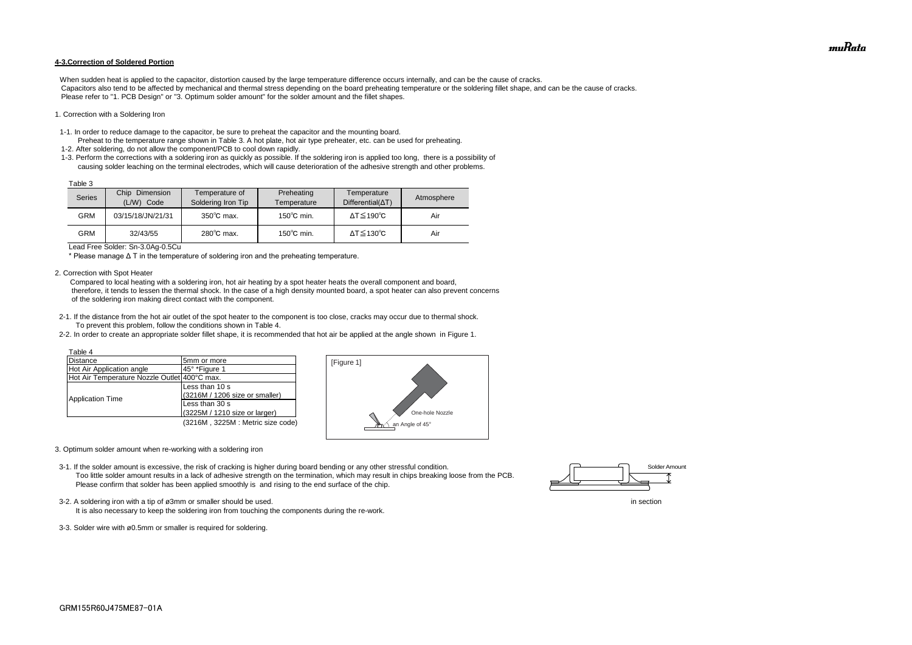#### **4-3.Correction of Soldered Portion**

When sudden heat is applied to the capacitor, distortion caused by the large temperature difference occurs internally, and can be the cause of cracks. Capacitors also tend to be affected by mechanical and thermal stress depending on the board preheating temperature or the soldering fillet shape, and can be the cause of cracks. Please refer to "1. PCB Design" or "3. Optimum solder amount" for the solder amount and the fillet shapes.

#### 1. Correction with a Soldering Iron

- 1-1. In order to reduce damage to the capacitor, be sure to preheat the capacitor and the mounting board.
- Preheat to the temperature range shown in Table 3. A hot plate, hot air type preheater, etc. can be used for preheating. 1-2. After soldering, do not allow the component/PCB to cool down rapidly.
- 1-3. Perform the corrections with a soldering iron as quickly as possible. If the soldering iron is applied too long, there is a possibility of causing solder leaching on the terminal electrodes, which will cause deterioration of the adhesive strength and other problems.

Lead Free Solder: Sn-3.0Ag-0.5Cu

\* Please manage Δ T in the temperature of soldering iron and the preheating temperature.

2. Correction with Spot Heater

 Compared to local heating with a soldering iron, hot air heating by a spot heater heats the overall component and board, therefore, it tends to lessen the thermal shock. In the case of a high density mounted board, a spot heater can also prevent concerns of the soldering iron making direct contact with the component.

- 3-2. A soldering iron with a tip of ø3mm or smaller should be used. In section
	- It is also necessary to keep the soldering iron from touching the components during the re-work.
- 3-3. Solder wire with ø0.5mm or smaller is required for soldering.

![](_page_16_Figure_21.jpeg)

- 2-1. If the distance from the hot air outlet of the spot heater to the component is too close, cracks may occur due to thermal shock. To prevent this problem, follow the conditions shown in Table 4.
- 2-2. In order to create an appropriate solder fillet shape, it is recommended that hot air be applied at the angle shown in Figure 1.

| Table 3 |                                    |                                      |                           |                                         |            |
|---------|------------------------------------|--------------------------------------|---------------------------|-----------------------------------------|------------|
| Series  | Chip<br>Dimension<br>(L/W)<br>Code | Temperature of<br>Soldering Iron Tip | Preheating<br>Temperature | Temperature<br>$Differential(\Delta T)$ | Atmosphere |
| GRM     | 03/15/18/JN/21/31                  | $350^{\circ}$ C max.                 | $150^{\circ}$ C min.      | $\Delta T \leq 190^{\circ}C$            | Air        |
| GRM     | 32/43/55                           | $280^{\circ}$ C max.                 | $150^{\circ}$ C min.      | $\Delta T \leq 130^{\circ}C$            | Air        |

- 3. Optimum solder amount when re-working with a soldering iron
- 3-1. If the solder amount is excessive, the risk of cracking is higher during board bending or any other stressful condition. Too little solder amount results in a lack of adhesive strength on the termination, which may result in chips breaking loose from the PCB. Please confirm that solder has been applied smoothly is and rising to the end surface of the chip.

| Table 4                                      |                                  |
|----------------------------------------------|----------------------------------|
| <b>Distance</b>                              | 5mm or more                      |
| Hot Air Application angle                    | 45° *Figure 1                    |
| Hot Air Temperature Nozzle Outlet 400°C max. |                                  |
| <b>Application Time</b>                      | Less than 10 s                   |
|                                              | (3216M / 1206 size or smaller)   |
|                                              | Less than 30 s                   |
|                                              | (3225M / 1210 size or larger)    |
|                                              | (3216M, 3225M: Metric size code) |

![](_page_16_Figure_14.jpeg)

![](_page_16_Figure_17.jpeg)

muRata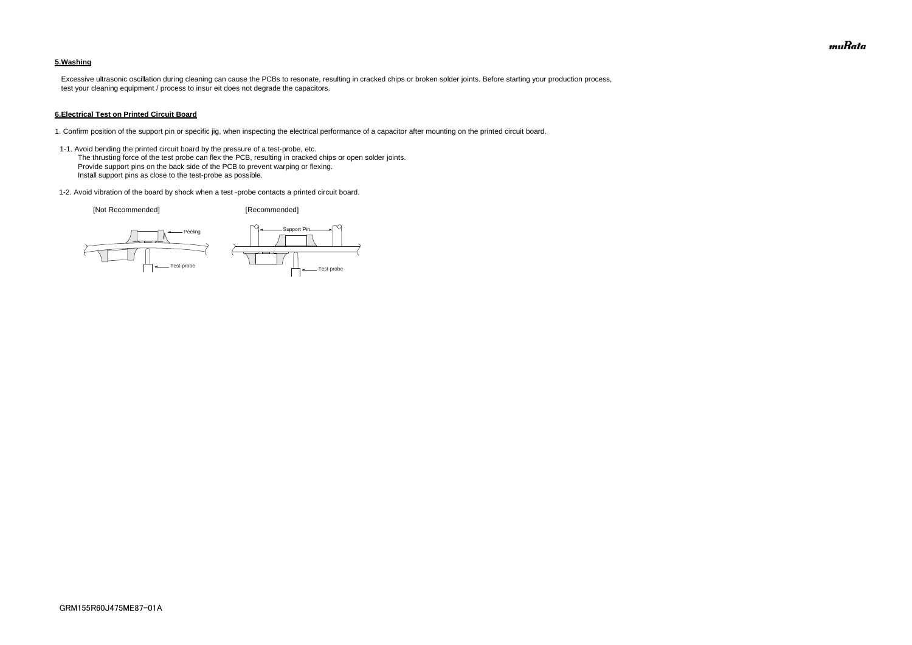### **5.Washing**

 Excessive ultrasonic oscillation during cleaning can cause the PCBs to resonate, resulting in cracked chips or broken solder joints. Before starting your production process, test your cleaning equipment / process to insur eit does not degrade the capacitors.

#### **6.Electrical Test on Printed Circuit Board**

- 1. Confirm position of the support pin or specific jig, when inspecting the electrical performance of a capacitor after mounting on the printed circuit board.
- 1-1. Avoid bending the printed circuit board by the pressure of a test-probe, etc. The thrusting force of the test probe can flex the PCB, resulting in cracked chips or open solder joints. Provide support pins on the back side of the PCB to prevent warping or flexing. Install support pins as close to the test-probe as possible.
- 1-2. Avoid vibration of the board by shock when a test -probe contacts a printed circuit board.

[Not Recommended] [Recommended]

![](_page_17_Figure_7.jpeg)

![](_page_17_Figure_8.jpeg)

![](_page_17_Picture_10.jpeg)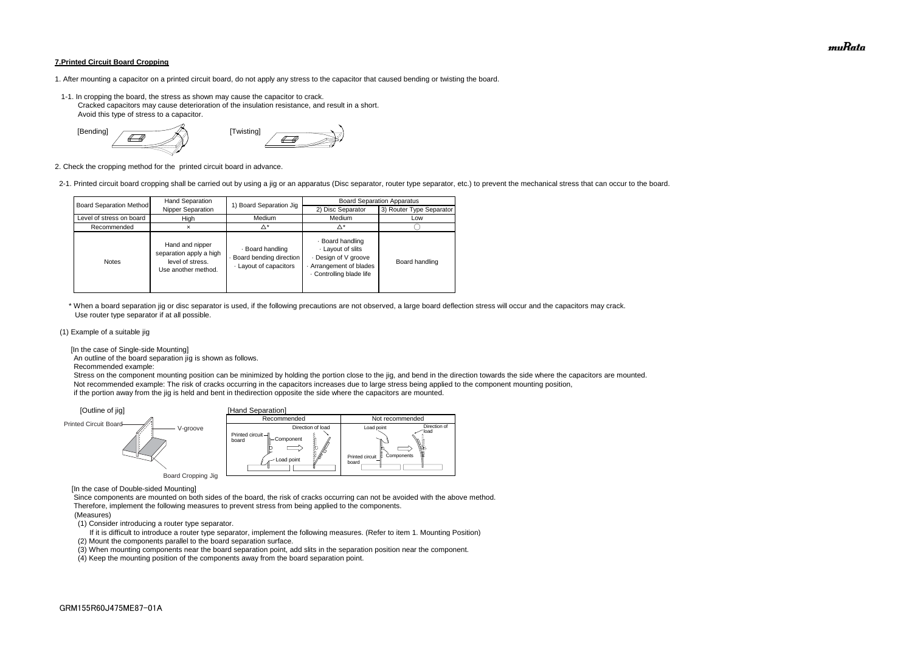#### **7.Printed Circuit Board Cropping**

- 1. After mounting a capacitor on a printed circuit board, do not apply any stress to the capacitor that caused bending or twisting the board.
- 1-1. In cropping the board, the stress as shown may cause the capacitor to crack. Cracked capacitors may cause deterioration of the insulation resistance, and result in a short. Avoid this type of stress to a capacitor.

![](_page_18_Figure_3.jpeg)

2. Check the cropping method for the printed circuit board in advance.

2-1. Printed circuit board cropping shall be carried out by using a jig or an apparatus (Disc separator, router type separator, etc.) to prevent the mechanical stress that can occur to the board.

 \* When a board separation jig or disc separator is used, if the following precautions are not observed, a large board deflection stress will occur and the capacitors may crack. Use router type separator if at all possible.

#### (1) Example of a suitable jig

[In the case of Single-side Mounting]

An outline of the board separation jig is shown as follows.

Recommended example:

 Stress on the component mounting position can be minimized by holding the portion close to the jig, and bend in the direction towards the side where the capacitors are mounted. Not recommended example: The risk of cracks occurring in the capacitors increases due to large stress being applied to the component mounting position, if the portion away from the jig is held and bent in thedirection opposite the side where the capacitors are mounted.

[In the case of Double-sided Mounting]

 Since components are mounted on both sides of the board, the risk of cracks occurring can not be avoided with the above method. Therefore, implement the following measures to prevent stress from being applied to the components.

#### (Measures)

(1) Consider introducing a router type separator.

If it is difficult to introduce a router type separator, implement the following measures. (Refer to item 1. Mounting Position)

(2) Mount the components parallel to the board separation surface.

(3) When mounting components near the board separation point, add slits in the separation position near the component.

![](_page_18_Figure_13.jpeg)

(4) Keep the mounting position of the components away from the board separation point.

|                                | Hand Separation                                                                       | 1) Board Separation Jig                                             | <b>Board Separation Apparatus</b>                                                                              |                          |  |
|--------------------------------|---------------------------------------------------------------------------------------|---------------------------------------------------------------------|----------------------------------------------------------------------------------------------------------------|--------------------------|--|
| <b>Board Separation Method</b> | Nipper Separation                                                                     |                                                                     | 2) Disc Separator                                                                                              | 3) Router Type Separator |  |
| Level of stress on board       | High                                                                                  | Medium                                                              | Medium                                                                                                         | Low                      |  |
| Recommended                    |                                                                                       | Δ*                                                                  | $\Delta^*$                                                                                                     |                          |  |
| <b>Notes</b>                   | Hand and nipper<br>separation apply a high<br>level of stress.<br>Use another method. | · Board handling<br>Board bending direction<br>Layout of capacitors | · Board handling<br>Layout of slits<br>Design of V groove<br>Arrangement of blades<br>. Controlling blade life | Board handling           |  |

muRata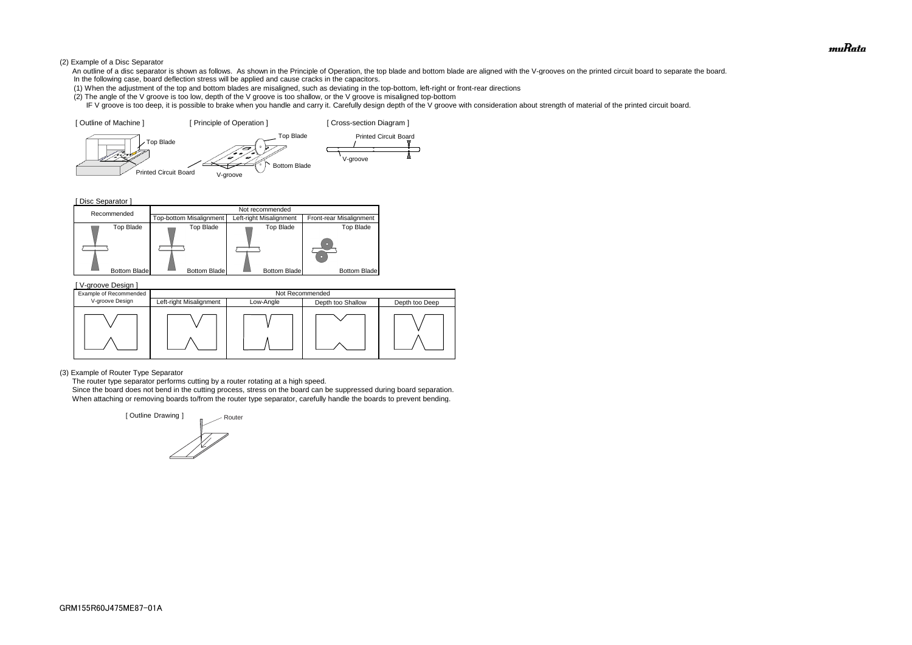#### (2) Example of a Disc Separator

- An outline of a disc separator is shown as follows. As shown in the Principle of Operation, the top blade and bottom blade are aligned with the V-grooves on the printed circuit board to separate the board. In the following case, board deflection stress will be applied and cause cracks in the capacitors.
- (1) When the adjustment of the top and bottom blades are misaligned, such as deviating in the top-bottom, left-right or front-rear directions
- (2) The angle of the V groove is too low, depth of the V groove is too shallow, or the V groove is misaligned top-bottom
- IF V groove is too deep, it is possible to brake when you handle and carry it. Carefully design depth of the V groove with consideration about strength of material of the printed circuit board.

[ Disc Separator ]

#### (3) Example of Router Type Separator

The router type separator performs cutting by a router rotating at a high speed.

![](_page_19_Figure_7.jpeg)

![](_page_19_Figure_5.jpeg)

 Since the board does not bend in the cutting process, stress on the board can be suppressed during board separation. When attaching or removing boards to/from the router type separator, carefully handle the boards to prevent bending.

| V-groove Design ]      |                         |           |                   |                |  |
|------------------------|-------------------------|-----------|-------------------|----------------|--|
| Example of Recommended | Not Recommended         |           |                   |                |  |
| V-groove Design        | Left-right Misalignment | Low-Angle | Depth too Shallow | Depth too Deep |  |
|                        |                         |           |                   |                |  |

![](_page_19_Picture_12.jpeg)

![](_page_19_Figure_13.jpeg)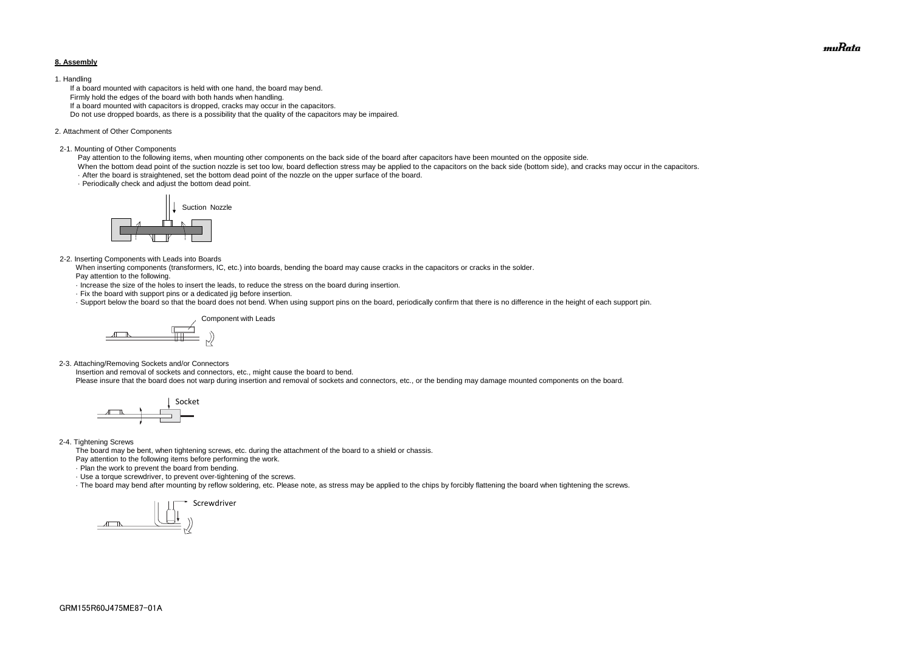#### **8. Assembly**

#### 1. Handling

 If a board mounted with capacitors is held with one hand, the board may bend. Firmly hold the edges of the board with both hands when handling. If a board mounted with capacitors is dropped, cracks may occur in the capacitors. Do not use dropped boards, as there is a possibility that the quality of the capacitors may be impaired.

#### 2. Attachment of Other Components

#### 2-1. Mounting of Other Components

Pay attention to the following items, when mounting other components on the back side of the board after capacitors have been mounted on the opposite side.

When the bottom dead point of the suction nozzle is set too low, board deflection stress may be applied to the capacitors on the back side (bottom side), and cracks may occur in the capacitors. · After the board is straightened, set the bottom dead point of the nozzle on the upper surface of the board.

· Periodically check and adjust the bottom dead point.

#### 2-2. Inserting Components with Leads into Boards

 When inserting components (transformers, IC, etc.) into boards, bending the board may cause cracks in the capacitors or cracks in the solder. Pay attention to the following.

- · Increase the size of the holes to insert the leads, to reduce the stress on the board during insertion.
- · Fix the board with support pins or a dedicated jig before insertion.
- · Support below the board so that the board does not bend. When using support pins on the board, periodically confirm that there is no difference in the height of each support pin.

2-3. Attaching/Removing Sockets and/or Connectors

Insertion and removal of sockets and connectors, etc., might cause the board to bend.

Please insure that the board does not warp during insertion and removal of sockets and connectors, etc., or the bending may damage mounted components on the board.

#### 2-4. Tightening Screws

The board may be bent, when tightening screws, etc. during the attachment of the board to a shield or chassis.

Pay attention to the following items before performing the work.

· Plan the work to prevent the board from bending.

· Use a torque screwdriver, to prevent over-tightening of the screws.

· The board may bend after mounting by reflow soldering, etc. Please note, as stress may be applied to the chips by forcibly flattening the board when tightening the screws.

![](_page_20_Picture_8.jpeg)

![](_page_20_Figure_14.jpeg)

![](_page_20_Figure_18.jpeg)

![](_page_20_Picture_25.jpeg)

muRata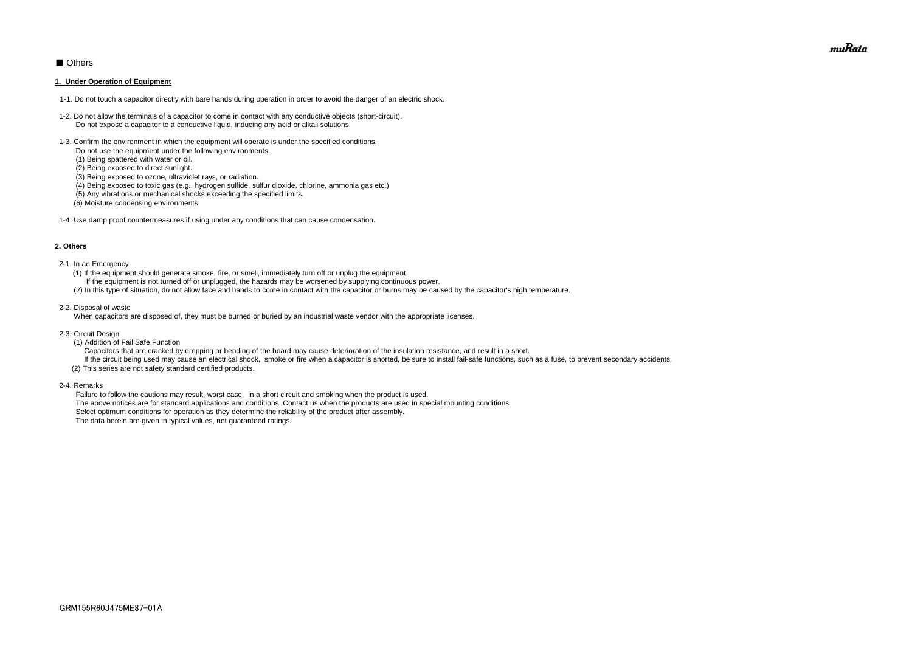## ■ Others

#### **1. Under Operation of Equipment**

- 1-1. Do not touch a capacitor directly with bare hands during operation in order to avoid the danger of an electric shock.
- 1-2. Do not allow the terminals of a capacitor to come in contact with any conductive objects (short-circuit). Do not expose a capacitor to a conductive liquid, inducing any acid or alkali solutions.
- 1-3. Confirm the environment in which the equipment will operate is under the specified conditions.
	- Do not use the equipment under the following environments.
	- (1) Being spattered with water or oil.
	- (2) Being exposed to direct sunlight.
	- (3) Being exposed to ozone, ultraviolet rays, or radiation.
	- (4) Being exposed to toxic gas (e.g., hydrogen sulfide, sulfur dioxide, chlorine, ammonia gas etc.)
	- (5) Any vibrations or mechanical shocks exceeding the specified limits.
	- (6) Moisture condensing environments.
- 1-4. Use damp proof countermeasures if using under any conditions that can cause condensation.

#### **2. Others**

If the circuit being used may cause an electrical shock, smoke or fire when a capacitor is shorted, be sure to install fail-safe functions, such as a fuse, to prevent secondary accidents. (2) This series are not safety standard certified products.

- 2-1. In an Emergency
	- (1) If the equipment should generate smoke, fire, or smell, immediately turn off or unplug the equipment.
	- If the equipment is not turned off or unplugged, the hazards may be worsened by supplying continuous power.
	- (2) In this type of situation, do not allow face and hands to come in contact with the capacitor or burns may be caused by the capacitor's high temperature.
- 2-2. Disposal of waste

When capacitors are disposed of, they must be burned or buried by an industrial waste vendor with the appropriate licenses.

- 2-3. Circuit Design
	- (1) Addition of Fail Safe Function

Capacitors that are cracked by dropping or bending of the board may cause deterioration of the insulation resistance, and result in a short.

2-4. Remarks

 Failure to follow the cautions may result, worst case, in a short circuit and smoking when the product is used. The above notices are for standard applications and conditions. Contact us when the products are used in special mounting conditions. Select optimum conditions for operation as they determine the reliability of the product after assembly. The data herein are given in typical values, not guaranteed ratings.

muRata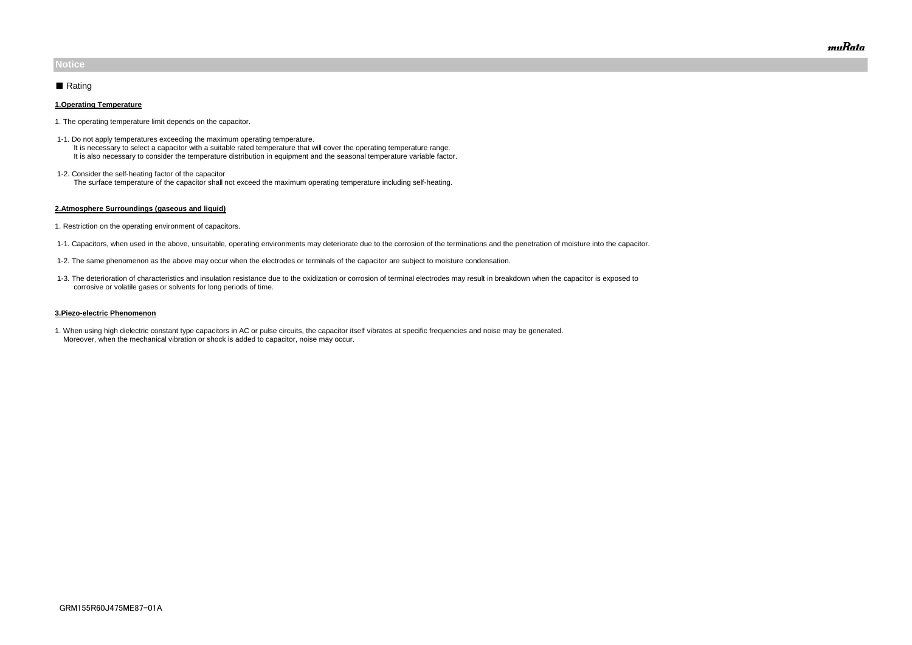#### **1.Operating Temperature**

- 1. The operating temperature limit depends on the capacitor.
- 1-1. Do not apply temperatures exceeding the maximum operating temperature. It is necessary to select a capacitor with a suitable rated temperature that will cover the operating temperature range. It is also necessary to consider the temperature distribution in equipment and the seasonal temperature variable factor.
- 1-2. Consider the self-heating factor of the capacitor The surface temperature of the capacitor shall not exceed the maximum operating temperature including self-heating.

#### **2.Atmosphere Surroundings (gaseous and liquid)**

- 1. Restriction on the operating environment of capacitors.
- 1-1. Capacitors, when used in the above, unsuitable, operating environments may deteriorate due to the corrosion of the terminations and the penetration of moisture into the capacitor.
- 1-2. The same phenomenon as the above may occur when the electrodes or terminals of the capacitor are subject to moisture condensation.
- 1-3. The deterioration of characteristics and insulation resistance due to the oxidization or corrosion of terminal electrodes may result in breakdown when the capacitor is exposed to corrosive or volatile gases or solvents for long periods of time.

#### **3.Piezo-electric Phenomenon**

1. When using high dielectric constant type capacitors in AC or pulse circuits, the capacitor itself vibrates at specific frequencies and noise may be generated. Moreover, when the mechanical vibration or shock is added to capacitor, noise may occur.

## **Notice**

## ■ Rating

muRata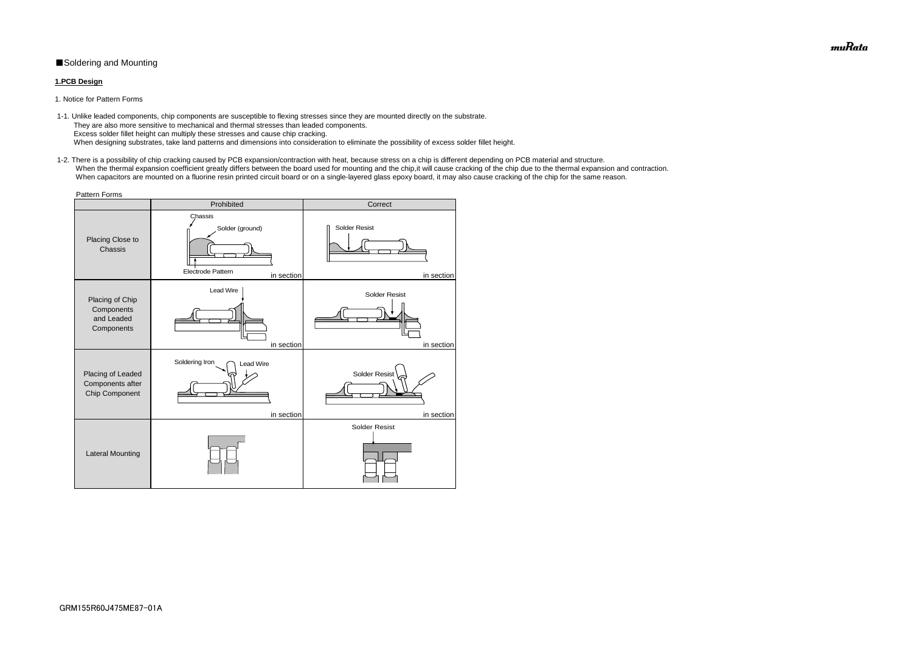## ■Soldering and Mounting

### **1.PCB Design**

1. Notice for Pattern Forms

 1-2. There is a possibility of chip cracking caused by PCB expansion/contraction with heat, because stress on a chip is different depending on PCB material and structure. When the thermal expansion coefficient greatly differs between the board used for mounting and the chip, it will cause cracking of the chip due to the thermal expansion and contraction. When capacitors are mounted on a fluorine resin printed circuit board or on a single-layered glass epoxy board, it may also cause cracking of the chip for the same reason.

 1-1. Unlike leaded components, chip components are susceptible to flexing stresses since they are mounted directly on the substrate. They are also more sensitive to mechanical and thermal stresses than leaded components. Excess solder fillet height can multiply these stresses and cause chip cracking. When designing substrates, take land patterns and dimensions into consideration to eliminate the possibility of excess solder fillet height.

| <b>Pattern Forms</b>                                      |                                                                      |                                    |  |  |  |
|-----------------------------------------------------------|----------------------------------------------------------------------|------------------------------------|--|--|--|
|                                                           | Prohibited                                                           | Correct                            |  |  |  |
| Placing Close to<br>Chassis                               | Chassis<br>Solder (ground)<br><b>Electrode Pattern</b><br>in section | <b>Solder Resist</b><br>in section |  |  |  |
| Placing of Chip<br>Components<br>and Leaded<br>Components | Lead Wire<br>in section                                              | <b>Solder Resist</b><br>in section |  |  |  |
| Placing of Leaded<br>Components after<br>Chip Component   | Soldering Iron<br><b>Lead Wire</b><br>in section                     | <b>Solder Resist</b><br>in section |  |  |  |
| <b>Lateral Mounting</b>                                   |                                                                      | <b>Solder Resist</b>               |  |  |  |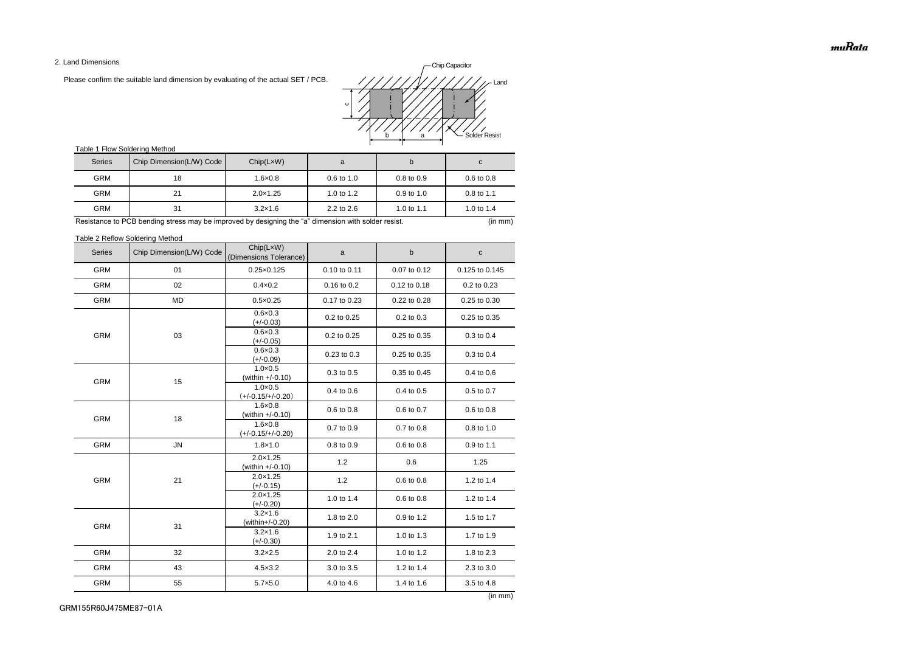2. Land Dimensions

Please confirm the suitable land dimension by evaluating of the actual SET / PCB.

## Table 1 Flow Soldering Method

Table 2 Reflow Soldering Method

| <b>Series</b> | Chip Dimension(L/W) Code | Chip(LxW)<br>(Dimensions Tolerance)     | a            | $\sf b$      | $\mathbf C$    |
|---------------|--------------------------|-----------------------------------------|--------------|--------------|----------------|
| <b>GRM</b>    | 01                       | $0.25 \times 0.125$                     | 0.10 to 0.11 | 0.07 to 0.12 | 0.125 to 0.145 |
| <b>GRM</b>    | 02                       | $0.4 \times 0.2$                        | 0.16 to 0.2  | 0.12 to 0.18 | 0.2 to 0.23    |
| <b>GRM</b>    | <b>MD</b>                | $0.5 \times 0.25$                       | 0.17 to 0.23 | 0.22 to 0.28 | 0.25 to 0.30   |
|               |                          | $0.6 \times 0.3$<br>$(+/-0.03)$         | 0.2 to 0.25  | 0.2 to 0.3   | 0.25 to 0.35   |
| <b>GRM</b>    | 03                       | $0.6 \times 0.3$<br>$(+/-0.05)$         | 0.2 to 0.25  | 0.25 to 0.35 | 0.3 to 0.4     |
|               |                          | $0.6 \times 0.3$<br>$(+/-0.09)$         | 0.23 to 0.3  | 0.25 to 0.35 | 0.3 to 0.4     |
| <b>GRM</b>    | 15                       | $1.0 \times 0.5$<br>(within +/-0.10)    | 0.3 to 0.5   | 0.35 to 0.45 | 0.4 to 0.6     |
|               |                          | $1.0 \times 0.5$<br>$(+/-0.15/+/-0.20)$ | 0.4 to 0.6   | 0.4 to 0.5   | 0.5 to 0.7     |
| <b>GRM</b>    | 18                       | $1.6 \times 0.8$<br>(within +/-0.10)    | 0.6 to 0.8   | 0.6 to 0.7   | 0.6 to 0.8     |
|               |                          | $1.6 \times 0.8$<br>$(+/-0.15/+/-0.20)$ | 0.7 to 0.9   | 0.7 to 0.8   | 0.8 to 1.0     |
| <b>GRM</b>    | ${\sf JN}$               | $1.8 \times 1.0$                        | 0.8 to 0.9   | 0.6 to 0.8   | 0.9 to 1.1     |
|               | 21                       | $2.0 \times 1.25$<br>(within +/-0.10)   | 1.2          | 0.6          | 1.25           |
| <b>GRM</b>    |                          | $2.0 \times 1.25$<br>$(+/-0.15)$        | 1.2          | 0.6 to 0.8   | 1.2 to 1.4     |
|               |                          | $2.0 \times 1.25$<br>$(+/-0.20)$        | 1.0 to 1.4   | 0.6 to 0.8   | 1.2 to 1.4     |
| <b>GRM</b>    | 31                       | $3.2 \times 1.6$<br>(within+/-0.20)     | 1.8 to 2.0   | 0.9 to 1.2   | 1.5 to 1.7     |
|               |                          | $3.2 \times 1.6$<br>(+/-0.30)           | 1.9 to 2.1   | 1.0 to 1.3   | 1.7 to 1.9     |
| <b>GRM</b>    | 32                       | $3.2 \times 2.5$                        | 2.0 to 2.4   | 1.0 to 1.2   | 1.8 to 2.3     |
| <b>GRM</b>    | 43                       | $4.5 \times 3.2$                        | 3.0 to 3.5   | 1.2 to 1.4   | 2.3 to 3.0     |
| <b>GRM</b>    | 55                       | $5.7 \times 5.0$                        | 4.0 to 4.6   | 1.4 to 1.6   | 3.5 to 4.8     |

| <b>Series</b> | Chip Dimension(L/W) Code | Chip(LxW)         | a                     | b                     | C                     |
|---------------|--------------------------|-------------------|-----------------------|-----------------------|-----------------------|
| <b>GRM</b>    | 18                       | $1.6 \times 0.8$  | $0.6 \text{ to } 1.0$ | $0.8 \text{ to } 0.9$ | $0.6 \text{ to } 0.8$ |
| <b>GRM</b>    | 21                       | $2.0 \times 1.25$ | 1.0 to $1.2$          | $0.9$ to 1.0          | $0.8 \text{ to } 1.1$ |
| <b>GRM</b>    | 31                       | $3.2 \times 1.6$  | $2.2$ to $2.6$        | 1.0 to 1.1            | 1.0 to 1.4            |

Resistance to PCB bending stress may be improved by designing the "a" dimension with solder resist. (in mm) (in mm)

![](_page_24_Figure_2.jpeg)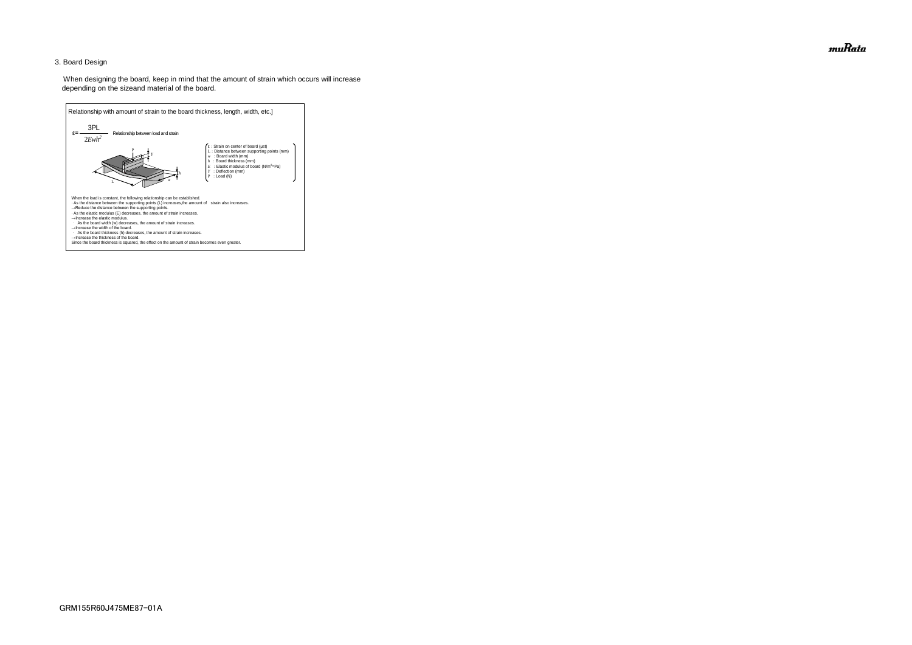## 3. Board Design

 When designing the board, keep in mind that the amount of strain which occurs will increase depending on the sizeand material of the board.

![](_page_25_Figure_2.jpeg)

muRata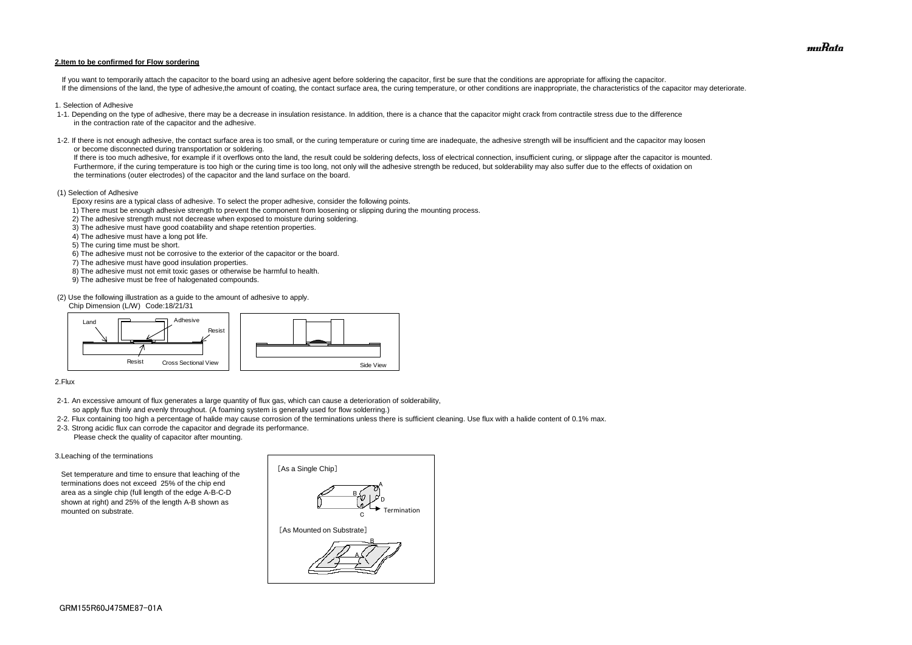#### **2.Item to be confirmed for Flow sordering**

If you want to temporarily attach the capacitor to the board using an adhesive agent before soldering the capacitor, first be sure that the conditions are appropriate for affixing the capacitor. If the dimensions of the land, the type of adhesive, the amount of coating, the contact surface area, the curing temperature, or other conditions are inappropriate, the characteristics of the capacitor may deteriorate.

- 1. Selection of Adhesive
- 1-1. Depending on the type of adhesive, there may be a decrease in insulation resistance. In addition, there is a chance that the capacitor might crack from contractile stress due to the difference in the contraction rate of the capacitor and the adhesive.
- 1-2. If there is not enough adhesive, the contact surface area is too small, or the curing temperature or curing time are inadequate, the adhesive strength will be insufficient and the capacitor may loosen or become disconnected during transportation or soldering.

If there is too much adhesive, for example if it overflows onto the land, the result could be soldering defects, loss of electrical connection, insufficient curing, or slippage after the capacitor is mounted. Furthermore, if the curing temperature is too high or the curing time is too long, not only will the adhesive strength be reduced, but solderability may also suffer due to the effects of oxidation on the terminations (outer electrodes) of the capacitor and the land surface on the board.

#### (1) Selection of Adhesive

Epoxy resins are a typical class of adhesive. To select the proper adhesive, consider the following points.

- 1) There must be enough adhesive strength to prevent the component from loosening or slipping during the mounting process.
- 2) The adhesive strength must not decrease when exposed to moisture during soldering.
- 3) The adhesive must have good coatability and shape retention properties.
- 4) The adhesive must have a long pot life.
- 5) The curing time must be short.
- 6) The adhesive must not be corrosive to the exterior of the capacitor or the board.
- 7) The adhesive must have good insulation properties.
- 8) The adhesive must not emit toxic gases or otherwise be harmful to health.
- 9) The adhesive must be free of halogenated compounds.

(2) Use the following illustration as a guide to the amount of adhesive to apply.

Chip Dimension (L/W) Code:18/21/31

#### 2.Flux

- 2-1. An excessive amount of flux generates a large quantity of flux gas, which can cause a deterioration of solderability, so apply flux thinly and evenly throughout. (A foaming system is generally used for flow solderring.)
- 2-2. Flux containing too high a percentage of halide may cause corrosion of the terminations unless there is sufficient cleaning. Use flux with a halide content of 0.1% max.
- 2-3. Strong acidic flux can corrode the capacitor and degrade its performance. Please check the quality of capacitor after mounting.

#### 3.Leaching of the terminations

 Set temperature and time to ensure that leaching of the terminations does not exceed 25% of the chip end area as a single chip (full length of the edge A-B-C-D shown at right) and 25% of the length A-B shown as mounted on substrate.

![](_page_26_Figure_19.jpeg)

![](_page_26_Figure_26.jpeg)

![](_page_26_Picture_28.jpeg)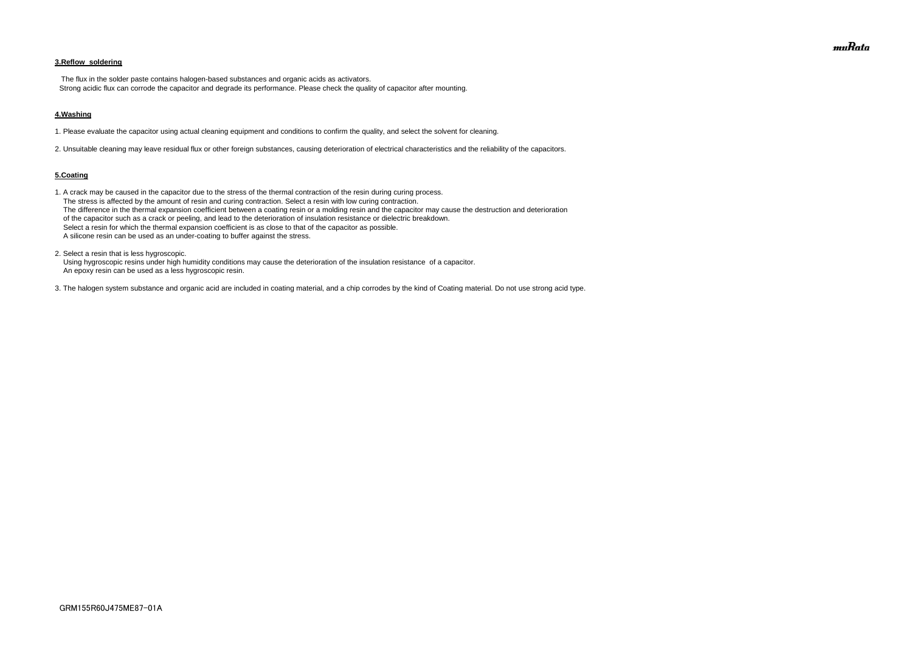## **3.Reflow soldering**

 The flux in the solder paste contains halogen-based substances and organic acids as activators. Strong acidic flux can corrode the capacitor and degrade its performance. Please check the quality of capacitor after mounting.

#### **4.Washing**

1. Please evaluate the capacitor using actual cleaning equipment and conditions to confirm the quality, and select the solvent for cleaning.

2. Unsuitable cleaning may leave residual flux or other foreign substances, causing deterioration of electrical characteristics and the reliability of the capacitors.

#### **5.Coating**

1. A crack may be caused in the capacitor due to the stress of the thermal contraction of the resin during curing process. The stress is affected by the amount of resin and curing contraction. Select a resin with low curing contraction. The difference in the thermal expansion coefficient between a coating resin or a molding resin and the capacitor may cause the destruction and deterioration of the capacitor such as a crack or peeling, and lead to the deterioration of insulation resistance or dielectric breakdown. Select a resin for which the thermal expansion coefficient is as close to that of the capacitor as possible. A silicone resin can be used as an under-coating to buffer against the stress.

2. Select a resin that is less hygroscopic.

 Using hygroscopic resins under high humidity conditions may cause the deterioration of the insulation resistance of a capacitor. An epoxy resin can be used as a less hygroscopic resin.

3. The halogen system substance and organic acid are included in coating material, and a chip corrodes by the kind of Coating material. Do not use strong acid type.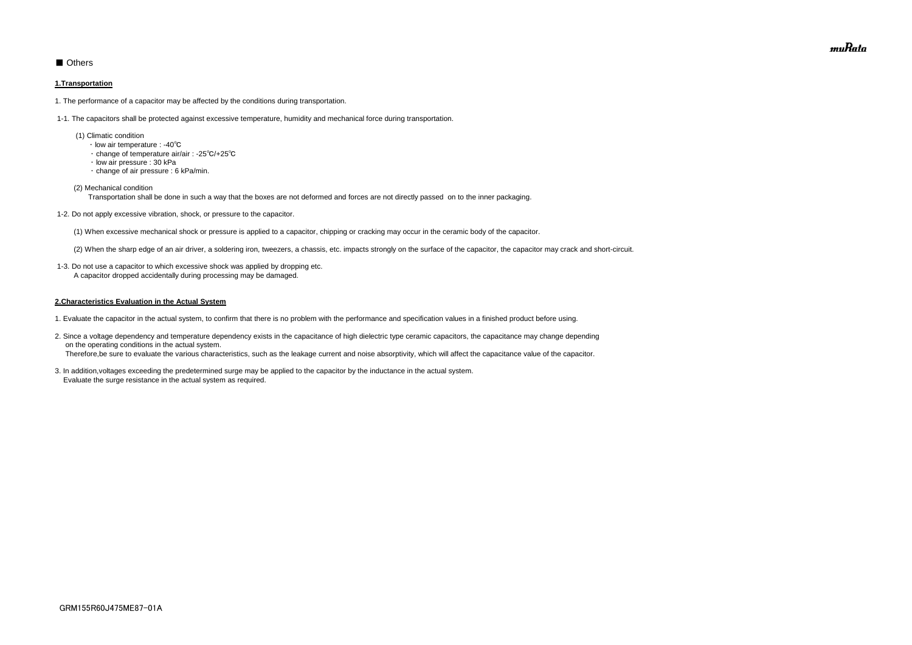## ■ Others

#### **1.Transportation**

1. The performance of a capacitor may be affected by the conditions during transportation.

1-1. The capacitors shall be protected against excessive temperature, humidity and mechanical force during transportation.

- (1) Climatic condition
	- ・ low air temperature : -40℃
	- ・ change of temperature air/air : -25℃/+25℃
	- ・ low air pressure : 30 kPa
	- ・ change of air pressure : 6 kPa/min.
- (2) Mechanical condition

Transportation shall be done in such a way that the boxes are not deformed and forces are not directly passed on to the inner packaging.

1-2. Do not apply excessive vibration, shock, or pressure to the capacitor.

(1) When excessive mechanical shock or pressure is applied to a capacitor, chipping or cracking may occur in the ceramic body of the capacitor.

(2) When the sharp edge of an air driver, a soldering iron, tweezers, a chassis, etc. impacts strongly on the surface of the capacitor, the capacitor may crack and short-circuit.

 1-3. Do not use a capacitor to which excessive shock was applied by dropping etc. A capacitor dropped accidentally during processing may be damaged.

#### **2.Characteristics Evaluation in the Actual System**

- 1. Evaluate the capacitor in the actual system, to confirm that there is no problem with the performance and specification values in a finished product before using.
- 2. Since a voltage dependency and temperature dependency exists in the capacitance of high dielectric type ceramic capacitors, the capacitance may change depending on the operating conditions in the actual system. Therefore,be sure to evaluate the various characteristics, such as the leakage current and noise absorptivity, which will affect the capacitance value of the capacitor.
- 3. In addition,voltages exceeding the predetermined surge may be applied to the capacitor by the inductance in the actual system. Evaluate the surge resistance in the actual system as required.

muRata